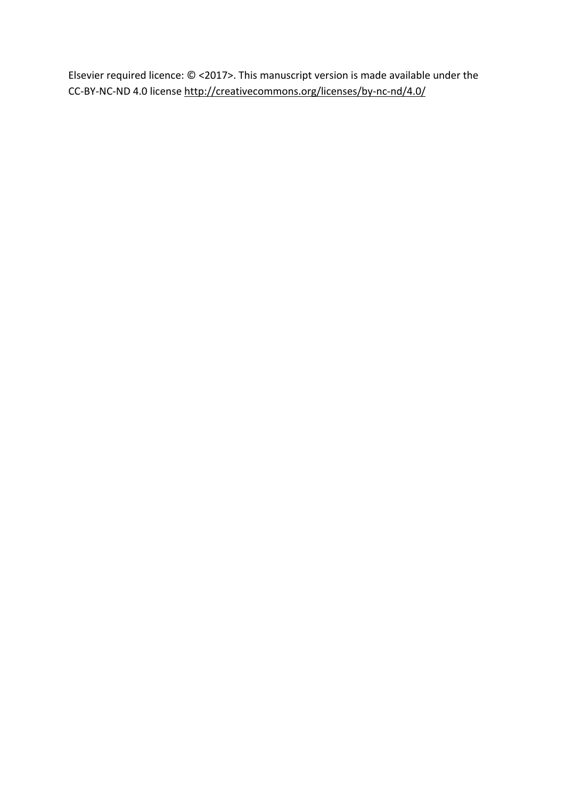Elsevier required licence: © <2017>. This manuscript version is made available under the CC‐BY‐NC‐ND 4.0 license http://creativecommons.org/licenses/by‐nc‐nd/4.0/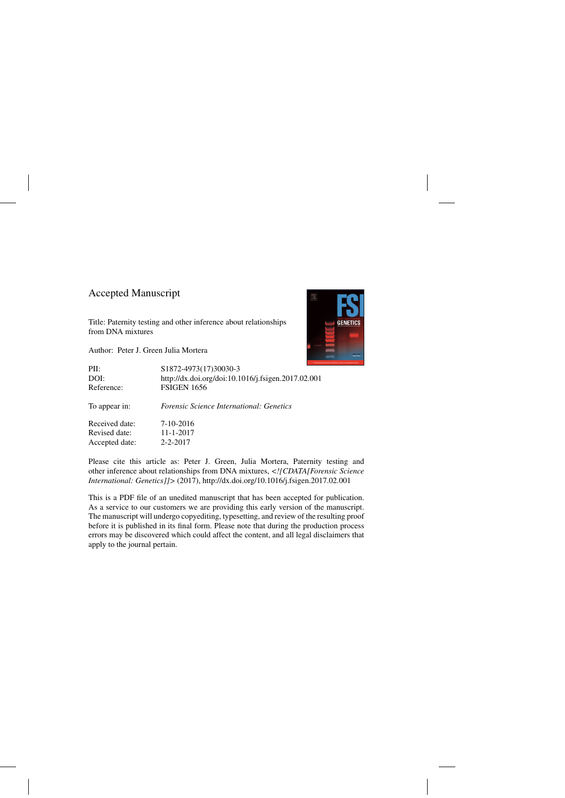# Accepted Manuscript

Title: Paternity testing and other inference about relationships from DNA mixtures

Author: Peter J. Green Julia Mortera



| PII:           | S1872-4973(17)30030-3                              |
|----------------|----------------------------------------------------|
| DOI:           | http://dx.doi.org/doi:10.1016/j.fsigen.2017.02.001 |
| Reference:     | <b>FSIGEN 1656</b>                                 |
| To appear in:  | <i>Forensic Science International: Genetics</i>    |
| Received date: | 7-10-2016                                          |
| Revised date:  | $11 - 1 - 2017$                                    |
| Accepted date: | $2 - 2 - 2017$                                     |

Please cite this article as: Peter J. Green, Julia Mortera, Paternity testing and other inference about relationships from DNA mixtures, *<![CDATA[Forensic Science International: Genetics]]>* (2017),<http://dx.doi.org/10.1016/j.fsigen.2017.02.001>

This is a PDF file of an unedited manuscript that has been accepted for publication. As a service to our customers we are providing this early version of the manuscript. The manuscript will undergo copyediting, typesetting, and review of the resulting proof before it is published in its final form. Please note that during the production process errors may be discovered which could affect the content, and all legal disclaimers that apply to the journal pertain.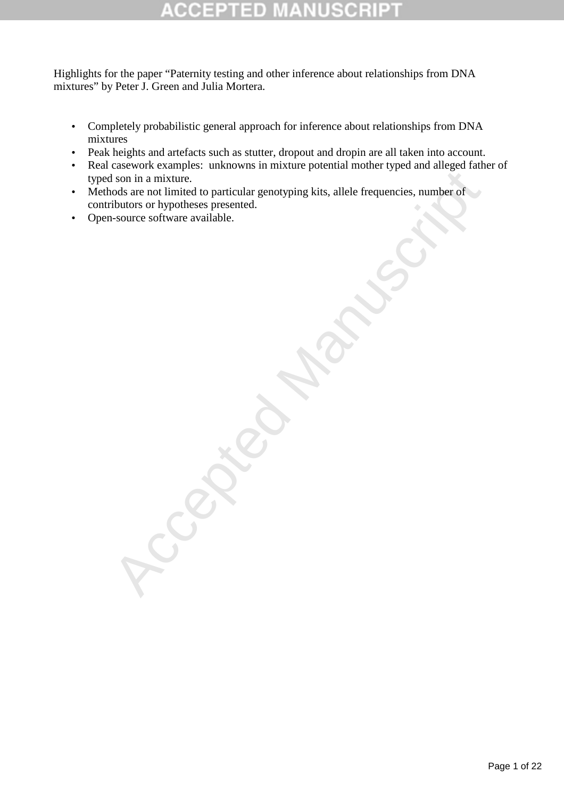# ۱

Highlights for the paper "Paternity testing and other inference about relationships from DNA mixtures" by Peter J. Green and Julia Mortera.

- Completely probabilistic general approach for inference about relationships from DNA mixtures
- Peak heights and artefacts such as stutter, dropout and dropin are all taken into account.
- Real casework examples: unknowns in mixture potential mother typed and alleged father of typed son in a mixture.
- Ston in a mixture.<br>
Ston in a mixture.<br>
Shows on the particular genotyping kits, allele frequencies, number of<br>
vibluors or hypotheses presented.<br>
Source software available.<br>
Source software available. • Methods are not limited to particular genotyping kits, allele frequencies, number of contributors or hypotheses presented.
- Open-source software available.

Page 1 of 22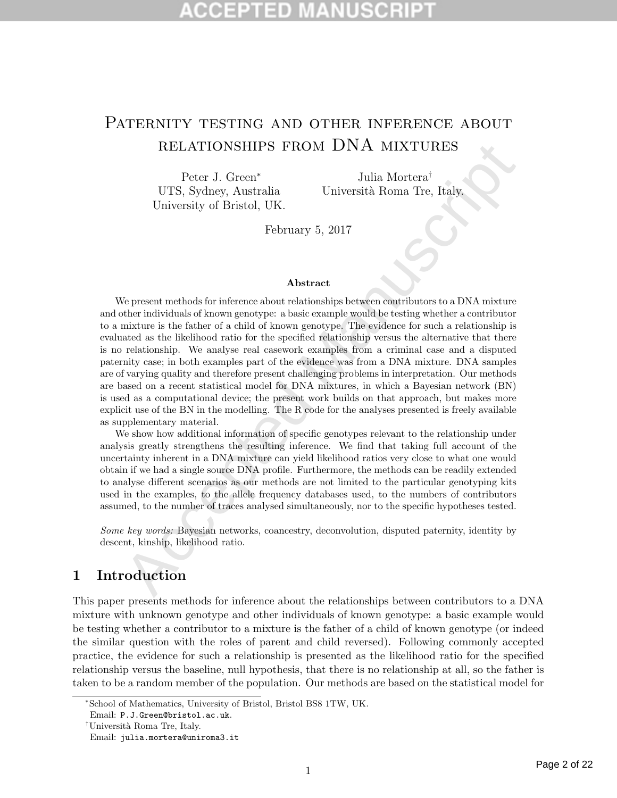# PATERNITY TESTING AND OTHER INFERENCE ABOUT relationships from DNA mixtures

Peter J. Green<sup>∗</sup> UTS, Sydney, Australia University of Bristol, UK.

Julia Mortera† Università Roma Tre, Italy.

February 5, 2017

### Abstract

RELATIONSHIIPS FROM DNA MIXTURES PRECONNIMPS FROM DNA MIXTURES PHOTE CHECK (TTS, Sydney, Australia Università Roma Tre, Italy, University of Bristol, UK. February 5, 2017 Abstract eigenery of Bristol, UK. February 5, 2017 We present methods for inference about relationships between contributors to a DNA mixture and other individuals of known genotype: a basic example would be testing whether a contributor to a mixture is the father of a child of known genotype. The evidence for such a relationship is evaluated as the likelihood ratio for the specified relationship versus the alternative that there is no relationship. We analyse real casework examples from a criminal case and a disputed paternity case; in both examples part of the evidence was from a DNA mixture. DNA samples are of varying quality and therefore present challenging problems in interpretation. Our methods are based on a recent statistical model for DNA mixtures, in which a Bayesian network (BN) is used as a computational device; the present work builds on that approach, but makes more explicit use of the BN in the modelling. The R code for the analyses presented is freely available as supplementary material.

We show how additional information of specific genotypes relevant to the relationship under analysis greatly strengthens the resulting inference. We find that taking full account of the uncertainty inherent in a DNA mixture can yield likelihood ratios very close to what one would obtain if we had a single source DNA profile. Furthermore, the methods can be readily extended to analyse different scenarios as our methods are not limited to the particular genotyping kits used in the examples, to the allele frequency databases used, to the numbers of contributors assumed, to the number of traces analysed simultaneously, nor to the specific hypotheses tested.

Some key words: Bayesian networks, coancestry, deconvolution, disputed paternity, identity by descent, kinship, likelihood ratio.

# 1 Introduction

This paper presents methods for inference about the relationships between contributors to a DNA mixture with unknown genotype and other individuals of known genotype: a basic example would be testing whether a contributor to a mixture is the father of a child of known genotype (or indeed the similar question with the roles of parent and child reversed). Following commonly accepted practice, the evidence for such a relationship is presented as the likelihood ratio for the specified relationship versus the baseline, null hypothesis, that there is no relationship at all, so the father is taken to be a random member of the population. Our methods are based on the statistical model for

<sup>∗</sup>School of Mathematics, University of Bristol, Bristol BS8 1TW, UK.

Email: P.J.Green@bristol.ac.uk.

<sup>&</sup>lt;sup>†</sup>Università Roma Tre, Italy.

Email: julia.mortera@uniroma3.it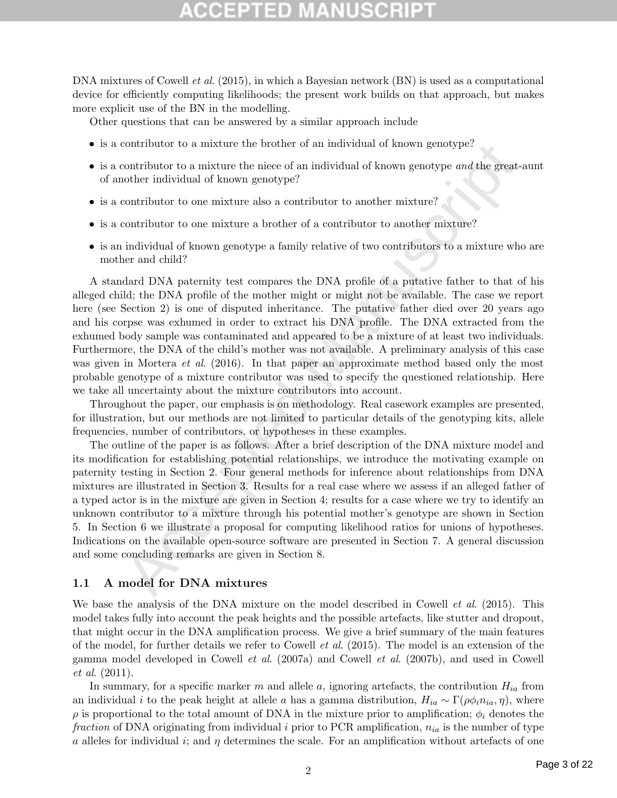# TED

DNA mixtures of Cowell *et al.* (2015), in which a Bayesian network (BN) is used as a computational device for efficiently computing likelihoods; the present work builds on that approach, but makes more explicit use of the BN in the modelling.

Other questions that can be answered by a similar approach include

- is a contributor to a mixture the brother of an individual of known genotype?
- is a contributor to a mixture the niece of an individual of known genotype and the great-aunt of another individual of known genotype?
- $\bullet\,$  is a contributor to one mixture also a contributor to another mixture?
- is a contributor to one mixture a brother of a contributor to another mixture?
- is an individual of known genotype a family relative of two contributors to a mixture who are mother and child?

contributor to a mixture the brother of an individual of known genotype?<br>
contributor to a mixture the nices of an individual of known genotype and the greet-<br>
contributor to ane mixture also a contributor to another mixt A standard DNA paternity test compares the DNA profile of a putative father to that of his alleged child; the DNA profile of the mother might or might not be available. The case we report here (see Section 2) is one of disputed inheritance. The putative father died over 20 years ago and his corpse was exhumed in order to extract his DNA profile. The DNA extracted from the exhumed body sample was contaminated and appeared to be a mixture of at least two individuals. Furthermore, the DNA of the child's mother was not available. A preliminary analysis of this case was given in Mortera *et al.* (2016). In that paper an approximate method based only the most probable genotype of a mixture contributor was used to specify the questioned relationship. Here we take all uncertainty about the mixture contributors into account.

Throughout the paper, our emphasis is on methodology. Real casework examples are presented, for illustration, but our methods are not limited to particular details of the genotyping kits, allele frequencies, number of contributors, or hypotheses in these examples.

The outline of the paper is as follows. After a brief description of the DNA mixture model and its modification for establishing potential relationships, we introduce the motivating example on paternity testing in Section 2. Four general methods for inference about relationships from DNA mixtures are illustrated in Section 3. Results for a real case where we assess if an alleged father of a typed actor is in the mixture are given in Section 4; results for a case where we try to identify an unknown contributor to a mixture through his potential mother's genotype are shown in Section 5. In Section 6 we illustrate a proposal for computing likelihood ratios for unions of hypotheses. Indications on the available open-source software are presented in Section 7. A general discussion and some concluding remarks are given in Section 8.

### 1.1 A model for DNA mixtures

We base the analysis of the DNA mixture on the model described in Cowell *et al.* (2015). This model takes fully into account the peak heights and the possible artefacts, like stutter and dropout, that might occur in the DNA amplification process. We give a brief summary of the main features of the model, for further details we refer to Cowell et al. (2015). The model is an extension of the gamma model developed in Cowell et al. (2007a) and Cowell et al. (2007b), and used in Cowell et al. (2011).

In summary, for a specific marker m and allele a, ignoring artefacts, the contribution  $H_{ia}$  from an individual i to the peak height at allele a has a gamma distribution,  $H_{ia} \sim \Gamma(\rho \phi_i n_{ia}, \eta)$ , where  $\rho$  is proportional to the total amount of DNA in the mixture prior to amplification;  $\phi_i$  denotes the fraction of DNA originating from individual i prior to PCR amplification,  $n_{ia}$  is the number of type a alleles for individual i; and  $\eta$  determines the scale. For an amplification without artefacts of one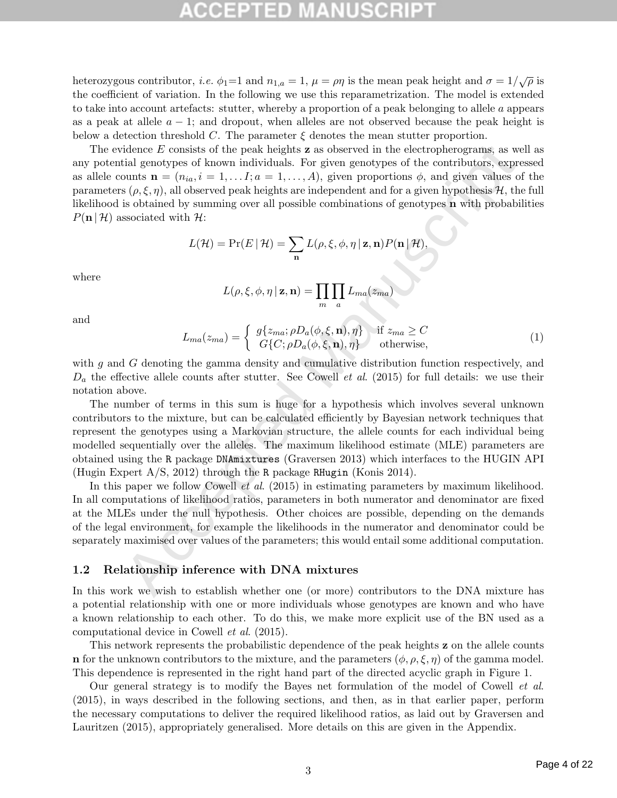# ED.

heterozygous contributor, *i.e.*  $\phi_1=1$  and  $n_{1,a}=1$ ,  $\mu=\rho\eta$  is the mean peak height and  $\sigma=1/\sqrt{\rho}$  is the coefficient of variation. In the following we use this reparametrization. The model is extended to take into account artefacts: stutter, whereby a proportion of a peak belonging to allele a appears as a peak at allele  $a - 1$ ; and dropout, when alleles are not observed because the peak height is below a detection threshold C. The parameter  $\xi$  denotes the mean stutter proportion.

idence E consists of the peak heights **z** as observed in the electropherograms, as we<br>dial gentypes of known individuals. For given groupys of the contributors, expect<br>number of Eq., i = 1,...,  $I_i a = 1, ..., I_i a = 1, ..., A$ ), given The evidence  $E$  consists of the peak heights **z** as observed in the electropherograms, as well as any potential genotypes of known individuals. For given genotypes of the contributors, expressed as allele counts  $\mathbf{n} = (n_{ia}, i = 1, \dots, I; a = 1, \dots, A)$ , given proportions  $\phi$ , and given values of the parameters  $(\rho, \xi, \eta)$ , all observed peak heights are independent and for a given hypothesis H, the full likelihood is obtained by summing over all possible combinations of genotypes n with probabilities  $P(n | \mathcal{H})$  associated with  $\mathcal{H}$ :

$$
L(\mathcal{H}) = \Pr(E | \mathcal{H}) = \sum_{\mathbf{n}} L(\rho, \xi, \phi, \eta | \mathbf{z}, \mathbf{n}) P(\mathbf{n} | \mathcal{H}),
$$

where

$$
L(\rho, \xi, \phi, \eta \mid \mathbf{z}, \mathbf{n}) = \prod_{m} \prod_{a} L_{ma}(z_{ma})
$$

and

$$
L_{ma}(z_{ma}) = \begin{cases} g\{z_{ma}; \rho D_a(\phi, \xi, \mathbf{n}), \eta\} & \text{if } z_{ma} \ge C \\ G\{C; \rho D_a(\phi, \xi, \mathbf{n}), \eta\} & \text{otherwise,} \end{cases}
$$
(1)

with g and G denoting the gamma density and cumulative distribution function respectively, and  $D_a$  the effective allele counts after stutter. See Cowell *et al.* (2015) for full details: we use their notation above.

The number of terms in this sum is huge for a hypothesis which involves several unknown contributors to the mixture, but can be calculated efficiently by Bayesian network techniques that represent the genotypes using a Markovian structure, the allele counts for each individual being modelled sequentially over the alleles. The maximum likelihood estimate (MLE) parameters are obtained using the R package DNAmixtures (Graversen 2013) which interfaces to the HUGIN API (Hugin Expert A/S, 2012) through the R package RHugin (Konis 2014).

In this paper we follow Cowell *et al.* (2015) in estimating parameters by maximum likelihood. In all computations of likelihood ratios, parameters in both numerator and denominator are fixed at the MLEs under the null hypothesis. Other choices are possible, depending on the demands of the legal environment, for example the likelihoods in the numerator and denominator could be separately maximised over values of the parameters; this would entail some additional computation.

### 1.2 Relationship inference with DNA mixtures

In this work we wish to establish whether one (or more) contributors to the DNA mixture has a potential relationship with one or more individuals whose genotypes are known and who have a known relationship to each other. To do this, we make more explicit use of the BN used as a computational device in Cowell et al. (2015).

This network represents the probabilistic dependence of the peak heights z on the allele counts n for the unknown contributors to the mixture, and the parameters  $(\phi, \rho, \xi, \eta)$  of the gamma model. This dependence is represented in the right hand part of the directed acyclic graph in Figure 1.

Our general strategy is to modify the Bayes net formulation of the model of Cowell et al. (2015), in ways described in the following sections, and then, as in that earlier paper, perform the necessary computations to deliver the required likelihood ratios, as laid out by Graversen and Lauritzen (2015), appropriately generalised. More details on this are given in the Appendix.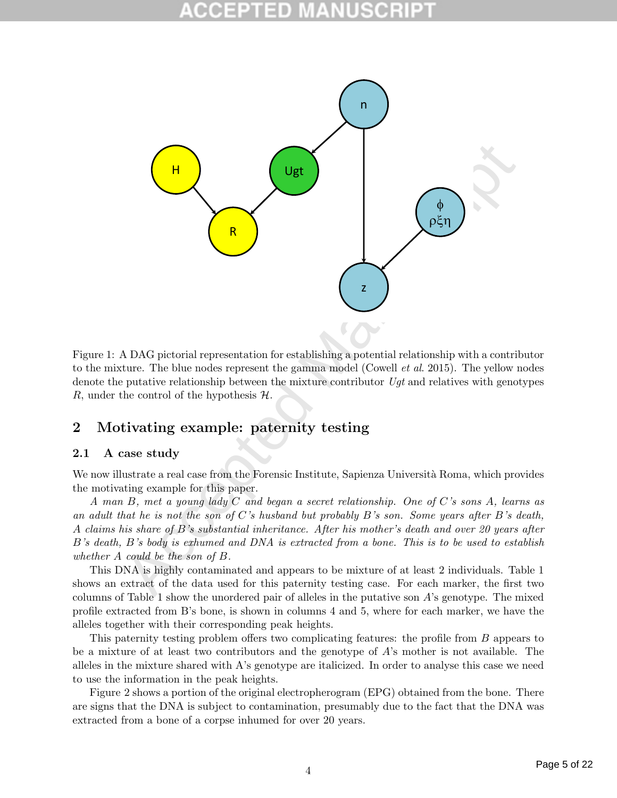

Figure 1: A DAG pictorial representation for establishing a potential relationship with a contributor to the mixture. The blue nodes represent the gamma model (Cowell *et al.* 2015). The yellow nodes denote the putative relationship between the mixture contributor  $Ugt$  and relatives with genotypes R, under the control of the hypothesis  $\mathcal{H}$ .

# 2 Motivating example: paternity testing

## 2.1 A case study

We now illustrate a real case from the Forensic Institute, Sapienza Università Roma, which provides the motivating example for this paper.

A man B, met a young lady C and began a secret relationship. One of C's sons A, learns as an adult that he is not the son of C's husband but probably B's son. Some years after B's death, A claims his share of B's substantial inheritance. After his mother's death and over 20 years after B's death, B's body is exhumed and DNA is extracted from a bone. This is to be used to establish whether A could be the son of B.

This DNA is highly contaminated and appears to be mixture of at least 2 individuals. Table 1 shows an extract of the data used for this paternity testing case. For each marker, the first two columns of Table 1 show the unordered pair of alleles in the putative son  $A$ 's genotype. The mixed profile extracted from B's bone, is shown in columns 4 and 5, where for each marker, we have the alleles together with their corresponding peak heights.

This paternity testing problem offers two complicating features: the profile from B appears to be a mixture of at least two contributors and the genotype of A's mother is not available. The alleles in the mixture shared with A's genotype are italicized. In order to analyse this case we need to use the information in the peak heights.

Figure 2 shows a portion of the original electropherogram (EPG) obtained from the bone. There are signs that the DNA is subject to contamination, presumably due to the fact that the DNA was extracted from a bone of a corpse inhumed for over 20 years.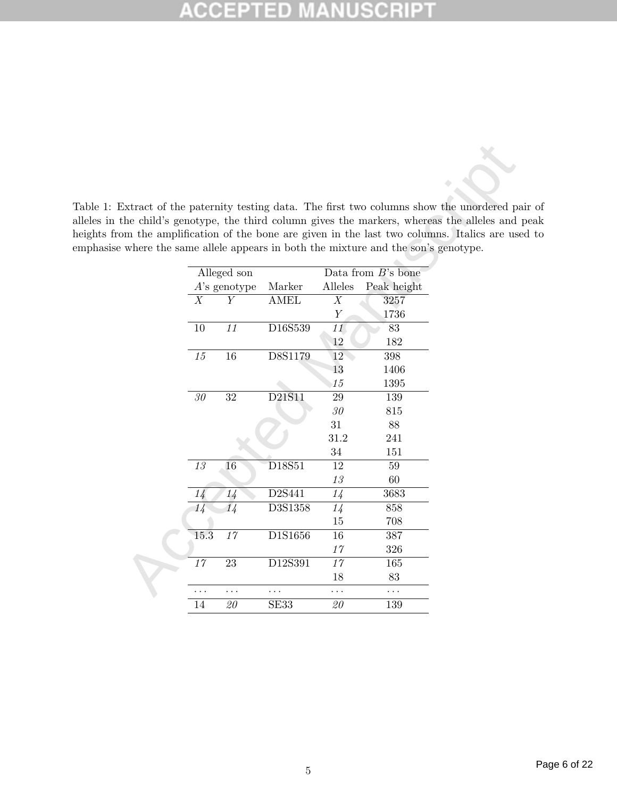### **ISCRI** P 10 U U, CC

Table 1: Extract of the paternity testing data. The first two columns show the unordered pair of alleles in the child's genotype, the third column gives the markers, whereas the alleles and peak heights from the amplification of the bone are given in the last two columns. Italics are used to emphasise where the same allele appears in both the mixture and the son's genotype.

|                |                 |             |         | Extract of the paternity testing data. The first two columns show the unordered pa |                                                                                             |
|----------------|-----------------|-------------|---------|------------------------------------------------------------------------------------|---------------------------------------------------------------------------------------------|
|                |                 |             |         |                                                                                    | the child's genotype, the third column gives the markers, whereas the alleles and position- |
|                |                 |             |         |                                                                                    | om the amplification of the bone are given in the last two columns. Italics are use         |
|                |                 |             |         | where the same allele appears in both the mixture and the son's genotype.          |                                                                                             |
|                | Alleged son     |             |         | Data from $B$ 's bone                                                              |                                                                                             |
|                | $A$ 's genotype | Marker      | Alleles | Peak height                                                                        |                                                                                             |
| X              | Y               | <b>AMEL</b> | X       | 3257                                                                               |                                                                                             |
|                |                 |             | Y       | 1736                                                                               |                                                                                             |
| 10             | 11              | D16S539     | 11      | 83                                                                                 |                                                                                             |
|                |                 |             | 12      | 182                                                                                |                                                                                             |
| $15\,$         | $16\,$          | D8S1179     | 12      | 398                                                                                |                                                                                             |
|                |                 |             | 13      | 1406                                                                               |                                                                                             |
|                |                 |             | 15      | 1395                                                                               |                                                                                             |
| $30\,$         | 32              | D21S11      | 29      | 139                                                                                |                                                                                             |
|                |                 |             | 30      | 815                                                                                |                                                                                             |
|                |                 |             | 31      | 88                                                                                 |                                                                                             |
|                |                 |             | 31.2    | 241                                                                                |                                                                                             |
|                |                 |             | 34      | 151                                                                                |                                                                                             |
| $1\sqrt{3}$    | 16              | D18S51      | 12      | 59                                                                                 |                                                                                             |
|                |                 |             | 13      | 60                                                                                 |                                                                                             |
| $1\frac{1}{4}$ | $1\frac{1}{4}$  | D2S441      | 14      | 3683                                                                               |                                                                                             |
| 14             | 14              | D3S1358     | 14      | 858                                                                                |                                                                                             |
|                |                 |             | 15      | 708                                                                                |                                                                                             |
| 15.3           | 17              | D1S1656     | 16      | 387                                                                                |                                                                                             |
|                |                 |             | $17$    | 326                                                                                |                                                                                             |
| 17             | 23              | D12S391     | 17      | 165                                                                                |                                                                                             |
|                |                 |             | 18      | 83                                                                                 |                                                                                             |
| .              | .               |             | .       | .                                                                                  |                                                                                             |
| 14             | 20              | SE33        | 20      | 139                                                                                |                                                                                             |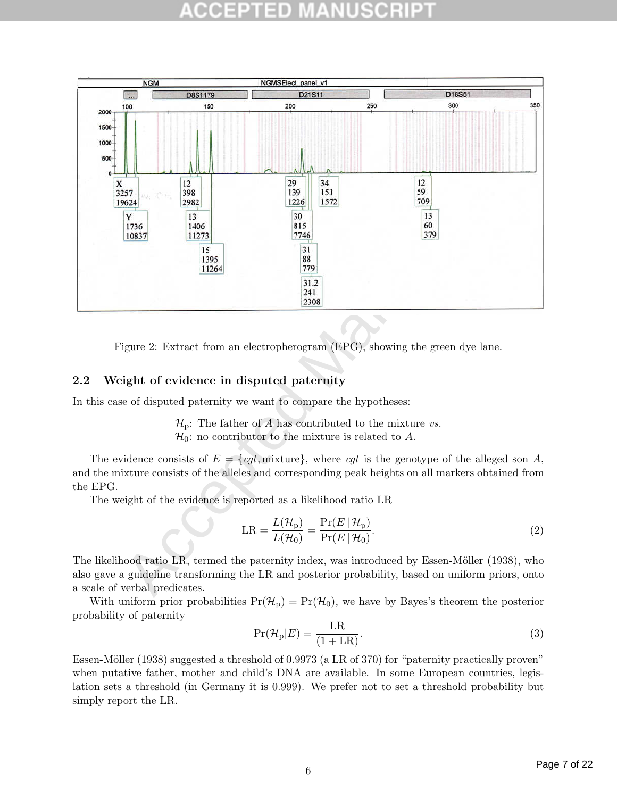

Figure 2: Extract from an electropherogram (EPG), showing the green dye lane.

## 2.2 Weight of evidence in disputed paternity

In this case of disputed paternity we want to compare the hypotheses:

 $\mathcal{H}_p$ : The father of A has contributed to the mixture vs.  $\mathcal{H}_0$ : no contributor to the mixture is related to A.

The evidence consists of  $E = \{cqt, mixture\}$ , where cqt is the genotype of the alleged son A, and the mixture consists of the alleles and corresponding peak heights on all markers obtained from the EPG.

The weight of the evidence is reported as a likelihood ratio LR

$$
LR = \frac{L(\mathcal{H}_{\rm p})}{L(\mathcal{H}_{0})} = \frac{\Pr(E \mid \mathcal{H}_{\rm p})}{\Pr(E \mid \mathcal{H}_{0})}.
$$
\n(2)

The likelihood ratio LR, termed the paternity index, was introduced by Essen-Möller (1938), who also gave a guideline transforming the LR and posterior probability, based on uniform priors, onto a scale of verbal predicates.

With uniform prior probabilities  $Pr(\mathcal{H}_p) = Pr(\mathcal{H}_0)$ , we have by Bayes's theorem the posterior probability of paternity

$$
\Pr(\mathcal{H}_p|E) = \frac{LR}{(1+LR)}.\tag{3}
$$

Essen-Möller (1938) suggested a threshold of 0.9973 (a LR of 370) for "paternity practically proven" when putative father, mother and child's DNA are available. In some European countries, legislation sets a threshold (in Germany it is 0.999). We prefer not to set a threshold probability but simply report the LR.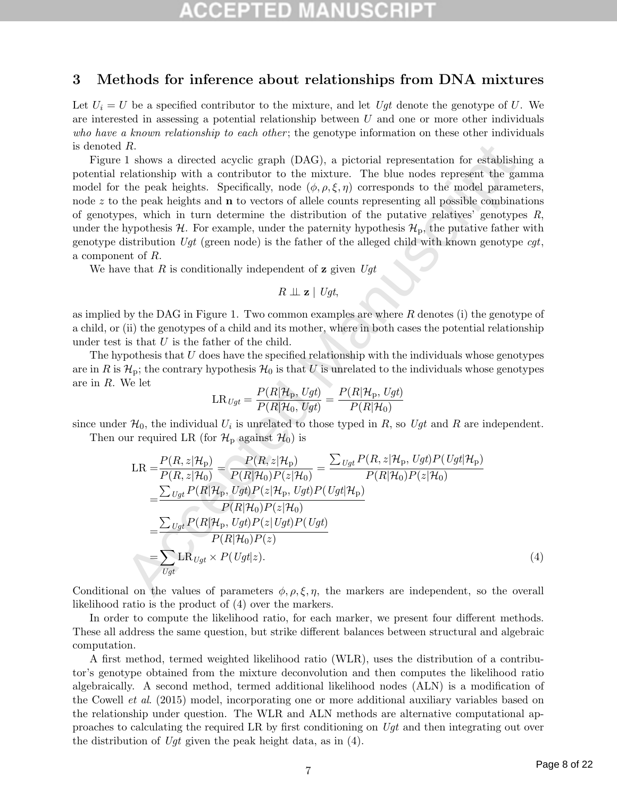# 1 D

## 3 Methods for inference about relationships from DNA mixtures

Let  $U_i = U$  be a specified contributor to the mixture, and let Ugt denote the genotype of U. We are interested in assessing a potential relationship between  $U$  and one or more other individuals who have a known relationship to each other; the genotype information on these other individuals is denoted R.

Figure 1 shows a directed acyclic graph (DAG), a pictorial representation for establishing a potential relationship with a contributor to the mixture. The blue nodes represent the gamma model for the peak heights. Specifically, node  $(\phi, \rho, \xi, \eta)$  corresponds to the model parameters, node  $z$  to the peak heights and  $\bf{n}$  to vectors of allele counts representing all possible combinations of genotypes, which in turn determine the distribution of the putative relatives' genotypes  $R$ , under the hypothesis  $\mathcal{H}$ . For example, under the paternity hypothesis  $\mathcal{H}_{p}$ , the putative father with genotype distribution  $Ugt$  (green node) is the father of the alleged child with known genotype  $cgt$ , a component of R.

We have that  $R$  is conditionally independent of  $\bf{z}$  given  $Ugt$ 

$$
R \perp \!\!\! \perp \mathbf{z} \mid \mathit{Ugt},
$$

as implied by the DAG in Figure 1. Two common examples are where  $R$  denotes (i) the genotype of a child, or (ii) the genotypes of a child and its mother, where in both cases the potential relationship under test is that  $U$  is the father of the child.

The hypothesis that  $U$  does have the specified relationship with the individuals whose genotypes are in R is  $\mathcal{H}_p$ ; the contrary hypothesis  $\mathcal{H}_0$  is that U is unrelated to the individuals whose genotypes are in R. We let

$$
\text{LR}_{\mathit{Ugt}} = \frac{P(R|\mathcal{H}_{\mathrm{p}},\mathit{Ugt})}{P(R|\mathcal{H}_0,\mathit{Ugt})} = \frac{P(R|\mathcal{H}_{\mathrm{p}},\mathit{Ugt})}{P(R|\mathcal{H}_0)}
$$

since under  $\mathcal{H}_0$ , the individual  $U_i$  is unrelated to those typed in R, so Ugt and R are independent.

Then our required LR (for  $\mathcal{H}_p$  against  $\mathcal{H}_0$ ) is

\n- *R*.
\n- 1 shows a directed acyclic graph (DAG), a pictorial representation for establishing a the peak heights. Specifically, node 
$$
(\phi, \rho, \xi, \eta)
$$
 corresponds to the model parameters, the peak heights and **n** to vectors of allele counts representing all possible combinations, which in turn determine the distribution of the putative relatives' genotypes *R*, hypothesis  $\mathcal H$ . For example, under the paternity hypothesis  $\mathcal H_0$ , the putative father with distribution  $Ugt$  (green node) is the father of the alleged child with known genotype  $cgt$ ,  $R$  by the DAG in Figure 1. Two common examples are where *R* denotes (i) the genotype of (ii) the genotypes of a child and its mother, where in both cases the potential relationship (ii) the genotypes of a child and its mother, where in both cases the potential relationship with the individual points that *U* is the father of the child.
\n- pothesis that *U* is the father of the child.
\n- pothesis that *U* is the father of the child.
\n- pothesis that *U* is the fact that *U* is unrelated to the individuals whose genotypes  $\mathcal H_p$ ; the contrary hypothesis  $\mathcal H_0$  is that *U* is unrelated to the individuals whose genotypes  $\mathcal H_p$ ; the individual  $U_i$  is unrelated to those typed in *R*, so  $Ugt$  and *R* are independent.
\n- Me let\n 
$$
L\mathbf R_{Ugt} = \frac{P(R|\mathcal H_p, Ugt)}{P(R|\mathcal H_0, Ugt)} = \frac{P(R|\mathcal H_p, Ugt)}{P(R|\mathcal H_0)}
$$
\n
\n- Me 
$$
= \frac{P(R, z|\mathcal H_p)}{P(R, z|\mathcal H_0)} = \frac{P(R, z|\mathcal H_p)}{P(R|\mathcal H_0)P(z|\mathcal H_0)} = \frac{\sum_{Ugt} P(R, z|\mathcal H_p, Ugt|P(Ugt|\mathcal H_p)}{P(R|\mathcal H_0)P(z|\mathcal H_0)} = \frac{\sum_{Ugt} P(R|\mathcal H_0)P(z|\mathcal H_0)}{P(R|\mathcal H_0)P(z|\mathcal H_0)} = \frac{\sum_{Ugt} P(R|\mathcal H_0)P(z|\mathcal U_0t)}{P(R|\mathcal H_0)P(z|\mathcal U_0t)} = \frac{\sum
$$

Conditional on the values of parameters  $\phi$ ,  $\rho$ ,  $\xi$ ,  $\eta$ , the markers are independent, so the overall likelihood ratio is the product of (4) over the markers.

In order to compute the likelihood ratio, for each marker, we present four different methods. These all address the same question, but strike different balances between structural and algebraic computation.

A first method, termed weighted likelihood ratio (WLR), uses the distribution of a contributor's genotype obtained from the mixture deconvolution and then computes the likelihood ratio algebraically. A second method, termed additional likelihood nodes (ALN) is a modification of the Cowell et al. (2015) model, incorporating one or more additional auxiliary variables based on the relationship under question. The WLR and ALN methods are alternative computational approaches to calculating the required LR by first conditioning on Ugt and then integrating out over the distribution of Ugt given the peak height data, as in  $(4)$ .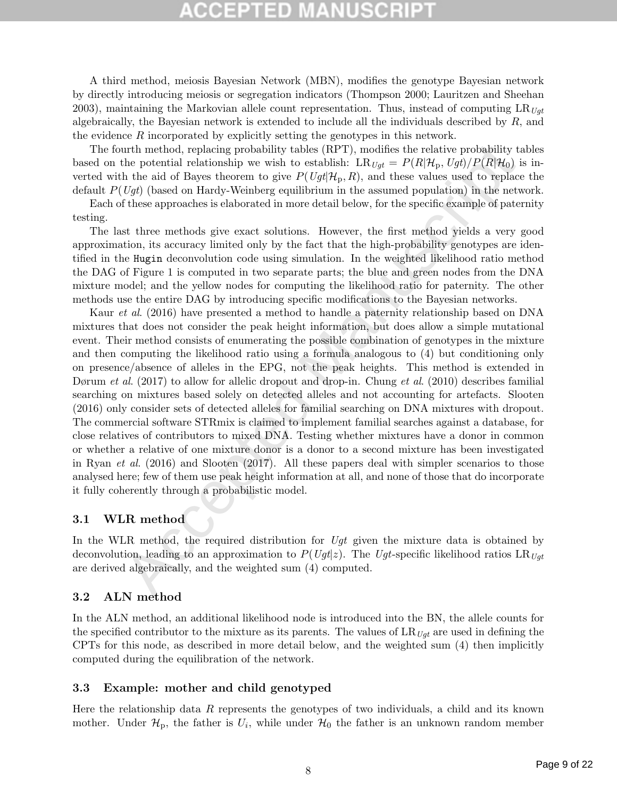# CEPTED

A third method, meiosis Bayesian Network (MBN), modifies the genotype Bayesian network by directly introducing meiosis or segregation indicators (Thompson 2000; Lauritzen and Sheehan 2003), maintaining the Markovian allele count representation. Thus, instead of computing  $LR_{Ugt}$ algebraically, the Bayesian network is extended to include all the individuals described by  $R$ , and the evidence R incorporated by explicitly setting the genotypes in this network.

The fourth method, replacing probability tables (RPT), modifies the relative probability tables based on the potential relationship we wish to establish:  $LR_{Uqt} = P(R|\mathcal{H}_p, Ugt)/P(R|\mathcal{H}_0)$  is inverted with the aid of Bayes theorem to give  $P(Ugt | \mathcal{H}_p, R)$ , and these values used to replace the default  $P(Uqt)$  (based on Hardy-Weinberg equilibrium in the assumed population) in the network.

Each of these approaches is elaborated in more detail below, for the specific example of paternity testing.

The last three methods give exact solutions. However, the first method yields a very good approximation, its accuracy limited only by the fact that the high-probability genotypes are identified in the Hugin deconvolution code using simulation. In the weighted likelihood ratio method the DAG of Figure 1 is computed in two separate parts; the blue and green nodes from the DNA mixture model; and the yellow nodes for computing the likelihood ratio for paternity. The other methods use the entire DAG by introducing specific modifications to the Bayesian networks.

urth method, replacing probability tables (RPT), modifies the relative probability to<br>the potential relationship we wish to establish: LR  $U_{\mathcal{U}}$  =  $P(R|H_{\mathcal{U}}$ ,  $U_{\mathcal{U}}$  /P( $U_{\mathcal{U}}$ H<sub>2</sub>,  $U_{\mathcal{U}}$ ) ( $P(R|H_{\mathcal{U}}$ Kaur *et al.* (2016) have presented a method to handle a paternity relationship based on DNA mixtures that does not consider the peak height information, but does allow a simple mutational event. Their method consists of enumerating the possible combination of genotypes in the mixture and then computing the likelihood ratio using a formula analogous to (4) but conditioning only on presence/absence of alleles in the EPG, not the peak heights. This method is extended in Dørum et al. (2017) to allow for allelic dropout and drop-in. Chung et al. (2010) describes familial searching on mixtures based solely on detected alleles and not accounting for artefacts. Slooten (2016) only consider sets of detected alleles for familial searching on DNA mixtures with dropout. The commercial software STRmix is claimed to implement familial searches against a database, for close relatives of contributors to mixed DNA. Testing whether mixtures have a donor in common or whether a relative of one mixture donor is a donor to a second mixture has been investigated in Ryan et al. (2016) and Slooten (2017). All these papers deal with simpler scenarios to those analysed here; few of them use peak height information at all, and none of those that do incorporate it fully coherently through a probabilistic model.

### 3.1 WLR method

In the WLR method, the required distribution for  $Ugt$  given the mixture data is obtained by deconvolution, leading to an approximation to  $P(Ugt|z)$ . The Ugt-specific likelihood ratios LR<sub>Ugt</sub> are derived algebraically, and the weighted sum (4) computed.

### 3.2 ALN method

In the ALN method, an additional likelihood node is introduced into the BN, the allele counts for the specified contributor to the mixture as its parents. The values of  $LR_{Uqt}$  are used in defining the CPTs for this node, as described in more detail below, and the weighted sum (4) then implicitly computed during the equilibration of the network.

### 3.3 Example: mother and child genotyped

Here the relationship data  $R$  represents the genotypes of two individuals, a child and its known mother. Under  $\mathcal{H}_{\text{p}}$ , the father is  $U_i$ , while under  $\mathcal{H}_0$  the father is an unknown random member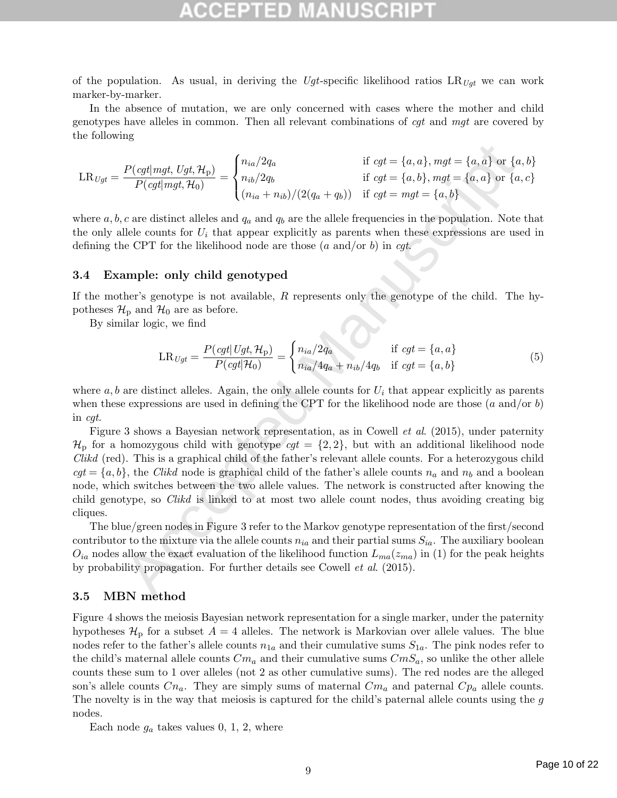of the population. As usual, in deriving the Ugt-specific likelihood ratios  $LR_{Uqt}$  we can work marker-by-marker.

In the absence of mutation, we are only concerned with cases where the mother and child genotypes have alleles in common. Then all relevant combinations of cgt and mgt are covered by the following

$$
LR_{Ugt} = \frac{P(cgt | mgt, Ugt, \mathcal{H}_p)}{P(cgt | mgt, \mathcal{H}_0)} = \begin{cases} n_{ia}/2q_a & \text{if } cgt = \{a, a\}, mgt = \{a, a\} \text{ or } \{a, b\} \\ n_{ib}/2q_b & \text{if } cgt = \{a, b\}, mgt = \{a, a\} \text{ or } \{a, c\} \\ (n_{ia} + n_{ib})/(2(q_a + q_b)) & \text{if } cgt = mgt = \{a, b\} \end{cases}
$$

where  $a, b, c$  are distinct alleles and  $q_a$  and  $q_b$  are the allele frequencies in the population. Note that the only allele counts for  $U_i$  that appear explicitly as parents when these expressions are used in defining the CPT for the likelihood node are those  $(a \text{ and/or } b)$  in cgt.

### 3.4 Example: only child genotyped

If the mother's genotype is not available,  $R$  represents only the genotype of the child. The hypotheses  $\mathcal{H}_p$  and  $\mathcal{H}_0$  are as before.

By similar logic, we find

$$
LR_{Ugt} = \frac{P(cgt|Ugt, \mathcal{H}_p)}{P(cgt|\mathcal{H}_0)} = \begin{cases} n_{ia}/2q_a & \text{if } cgt = \{a, a\} \\ n_{ia}/4q_a + n_{ib}/4q_b & \text{if } cgt = \{a, b\} \end{cases}
$$
(5)

where  $a, b$  are distinct alleles. Again, the only allele counts for  $U_i$  that appear explicitly as parents when these expressions are used in defining the CPT for the likelihood node are those  $(a \text{ and/or } b)$ in cgt.

 $\begin{array}{ll} P(cq|mq, Ugh, \mathcal{H}_0) \\ P(cq|mq, Ugh, \mathcal{H}_0) \\ P(cq|mq, Ugh, \mathcal{H}_0) \\ \end{array} = \begin{cases} n_{ia}/2q_a & \text{if } cql = \{a, a\}, mgl = \{a, a\} \text{ or } \{a, a\} \\ n_{ib}/2q_b & \text{if } cql = \{a, b\}, mgl = \{a, a\} \text{ or } \{a, a\} \\ (n_{ia} + n_{ib})/(2(q_a + q_b)) & \text{if } cql = mgl = \{a, b\} \\ \end{cases} \text{,} \end{cases} \text{$ Figure 3 shows a Bayesian network representation, as in Cowell et al. (2015), under paternity  $\mathcal{H}_{\text{p}}$  for a homozygous child with genotype  $cgt = \{2, 2\}$ , but with an additional likelihood node Clikd (red). This is a graphical child of the father's relevant allele counts. For a heterozygous child  $cqt = \{a, b\}$ , the Clikd node is graphical child of the father's allele counts  $n_a$  and  $n_b$  and a boolean node, which switches between the two allele values. The network is constructed after knowing the child genotype, so Clikd is linked to at most two allele count nodes, thus avoiding creating big cliques.

The blue/green nodes in Figure 3 refer to the Markov genotype representation of the first/second contributor to the mixture via the allele counts  $n_{ia}$  and their partial sums  $S_{ia}$ . The auxiliary boolean  $O_{ia}$  nodes allow the exact evaluation of the likelihood function  $L_{ma}(z_{ma})$  in (1) for the peak heights by probability propagation. For further details see Cowell et al. (2015).

### 3.5 MBN method

Figure 4 shows the meiosis Bayesian network representation for a single marker, under the paternity hypotheses  $\mathcal{H}_p$  for a subset  $A = 4$  alleles. The network is Markovian over allele values. The blue nodes refer to the father's allele counts  $n_{1a}$  and their cumulative sums  $S_{1a}$ . The pink nodes refer to the child's maternal allele counts  $Cm_a$  and their cumulative sums  $CmS_a$ , so unlike the other allele counts these sum to 1 over alleles (not 2 as other cumulative sums). The red nodes are the alleged son's allele counts  $C_n$ . They are simply sums of maternal  $C_m$  and paternal  $C_p$  allele counts. The novelty is in the way that meiosis is captured for the child's paternal allele counts using the g nodes.

Each node  $g_a$  takes values 0, 1, 2, where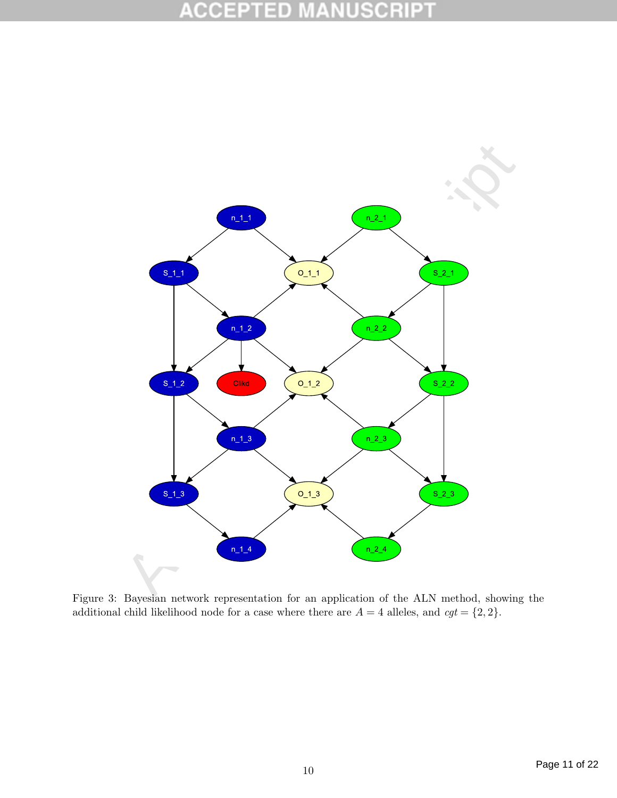### R B 0 D 0  $\overline{\mathbb{F}}$



additional child likelihood node for a case where there are  $A = 4$  alleles, and  $cgt = \{2, 2\}$ .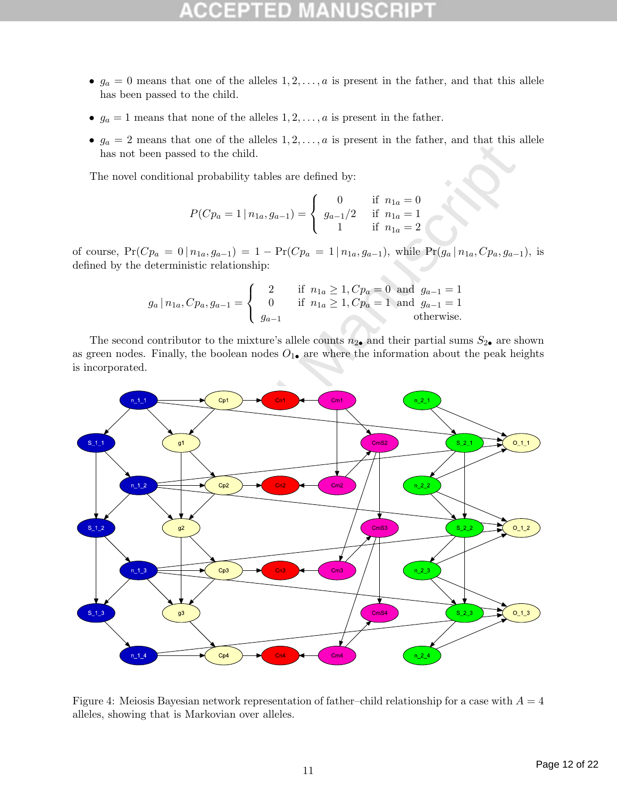- $g_a = 0$  means that one of the alleles  $1, 2, \ldots, a$  is present in the father, and that this allele has been passed to the child.
- $g_a = 1$  means that none of the alleles  $1, 2, \ldots, a$  is present in the father.
- $g_a = 2$  means that one of the alleles  $1, 2, \ldots, a$  is present in the father, and that this allele has not been passed to the child.

The novel conditional probability tables are defined by:

$$
P(Cp_a = 1 | n_{1a}, g_{a-1}) = \begin{cases} 0 & \text{if } n_{1a} = 0\\ g_{a-1}/2 & \text{if } n_{1a} = 1\\ 1 & \text{if } n_{1a} = 2 \end{cases}
$$

of course,  $Pr(Cp_a = 0 | n_{1a}, g_{a-1}) = 1 - Pr(Cp_a = 1 | n_{1a}, g_{a-1})$ , while  $Pr(g_a | n_{1a}, Cp_a, g_{a-1})$ , is defined by the deterministic relationship:

$$
g_a | n_{1a}, C p_a, g_{a-1} =\n\begin{cases}\n2 & \text{if } n_{1a} \geq 1, C p_a = 0 \text{ and } g_{a-1} = 1 \\
0 & \text{if } n_{1a} \geq 1, C p_a = 1 \text{ and } g_{a-1} = 1 \\
g_{a-1} & \text{otherwise.}\n\end{cases}
$$

The second contributor to the mixture's allele counts  $n_{2\bullet}$  and their partial sums  $S_{2\bullet}$  are shown as green nodes. Finally, the boolean nodes  $O_{1\bullet}$  are where the information about the peak heights is incorporated.



Figure 4: Meiosis Bayesian network representation of father–child relationship for a case with  $A = 4$ alleles, showing that is Markovian over alleles.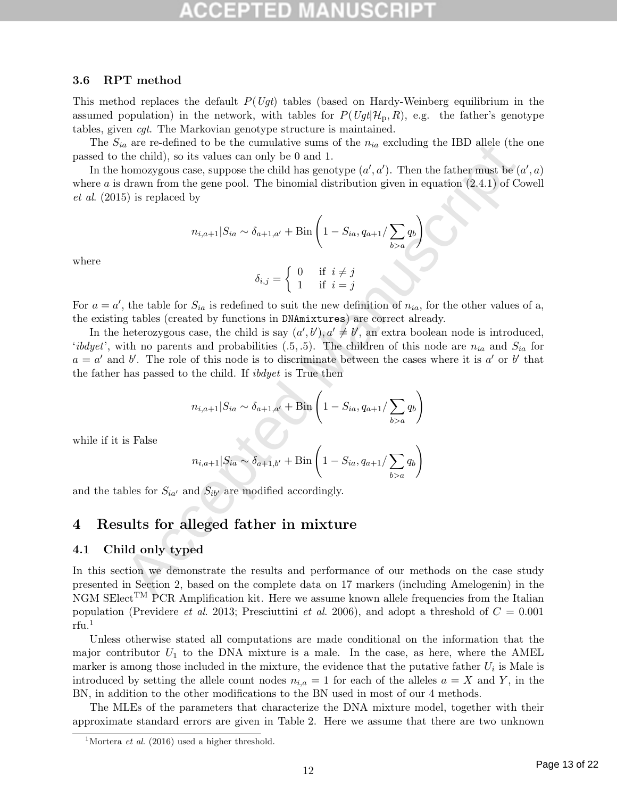## 3.6 RPT method

This method replaces the default  $P(Ugt)$  tables (based on Hardy-Weinberg equilibrium in the assumed population) in the network, with tables for  $P(Ugt | H_p, R)$ , e.g. the father's genotype tables, given cgt. The Markovian genotype structure is maintained.

The  $S_{ia}$  are re-defined to be the cumulative sums of the  $n_{ia}$  excluding the IBD allele (the one passed to the child), so its values can only be 0 and 1.

In the homozygous case, suppose the child has genotype  $(a', a')$ . Then the father must be  $(a', a)$ where  $a$  is drawn from the gene pool. The binomial distribution given in equation  $(2.4.1)$  of Cowell et al. (2015) is replaced by

$$
n_{i,a+1}|S_{ia} \sim \delta_{a+1,a'} + \text{Bin}\left(1 - S_{ia}, q_{a+1}/\sum_{b>a} q_b\right)
$$

where

$$
\delta_{i,j} = \begin{cases} 0 & \text{if } i \neq j \\ 1 & \text{if } i = j \end{cases}
$$

For  $a = a'$ , the table for  $S_{ia}$  is redefined to suit the new definition of  $n_{ia}$ , for the other values of a, the existing tables (created by functions in DNAmixtures) are correct already.

a are re-denoted to be the commutate sums of the  $n_{ia}$  correlation of the child), so its values can only be 0 and 1.<br>
the child), so its values can only be 0 and 1.<br>
drawn from the gene pool. The binomial distribution gi In the heterozygous case, the child is say  $(a', b'), a' \neq b'$ , an extra boolean node is introduced, 'ibdyet', with no parents and probabilities  $(.5, .5)$ . The children of this node are  $n_{ia}$  and  $S_{ia}$  for  $a = a'$  and b'. The role of this node is to discriminate between the cases where it is a' or b' that the father has passed to the child. If ibdyet is True then

$$
n_{i,a+1}|S_{ia} \sim \delta_{a+1,a'} + \text{Bin}\left(1 - S_{ia}, q_{a+1}/\sum_{b>a} q_b\right)
$$

while if it is False

$$
n_{i,a+1}|S_{ia} \sim \delta_{a+1,b'} + \text{Bin}\left(1 - S_{ia}, q_{a+1}/\sum_{b>a} q_b\right)
$$

and the tables for  $S_{ia'}$  and  $S_{ib'}$  are modified accordingly.

# 4 Results for alleged father in mixture

## 4.1 Child only typed

In this section we demonstrate the results and performance of our methods on the case study presented in Section 2, based on the complete data on 17 markers (including Amelogenin) in the NGM SElect<sup>TM</sup> PCR Amplification kit. Here we assume known allele frequencies from the Italian population (Previdere *et al.* 2013; Presciuttini *et al.* 2006), and adopt a threshold of  $C = 0.001$  $r$ fu.<sup>1</sup>

Unless otherwise stated all computations are made conditional on the information that the major contributor  $U_1$  to the DNA mixture is a male. In the case, as here, where the AMEL marker is among those included in the mixture, the evidence that the putative father  $U_i$  is Male is introduced by setting the allele count nodes  $n_{i,a} = 1$  for each of the alleles  $a = X$  and Y, in the BN, in addition to the other modifications to the BN used in most of our 4 methods.

The MLEs of the parameters that characterize the DNA mixture model, together with their approximate standard errors are given in Table 2. Here we assume that there are two unknown

<sup>&</sup>lt;sup>1</sup>Mortera *et al.* (2016) used a higher threshold.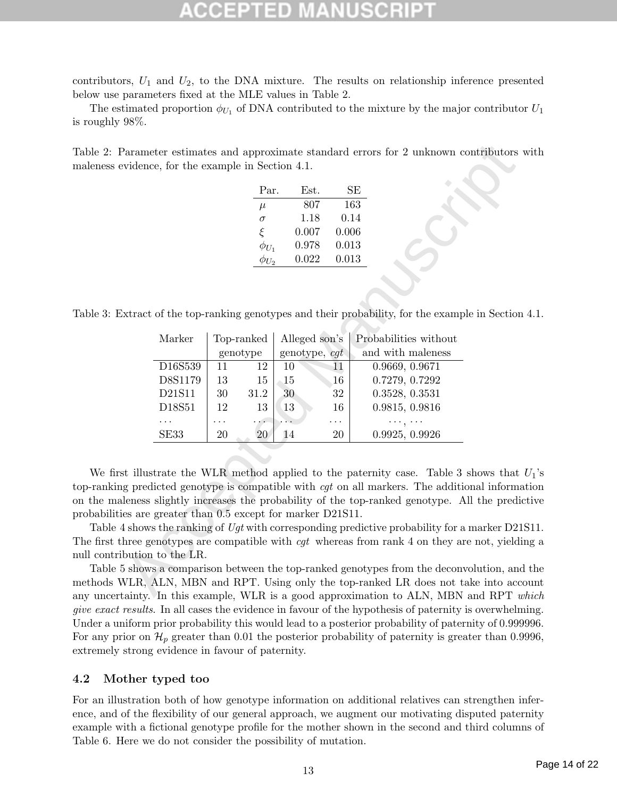contributors,  $U_1$  and  $U_2$ , to the DNA mixture. The results on relationship inference presented below use parameters fixed at the MLE values in Table 2.

The estimated proportion  $\phi_{U_1}$  of DNA contributed to the mixture by the major contributor  $U_1$ is roughly 98%.

Table 2: Parameter estimates and approximate standard errors for 2 unknown contributors with maleness evidence, for the example in Section 4.1.

| Par.         | Est.  | SE    |
|--------------|-------|-------|
| $\mu$        | 807   | 163   |
| $\sigma$     | 1.18  | 0.14  |
| ξ            | 0.007 | 0.006 |
| $\phi_{U_1}$ | 0.978 | 0.013 |
| $\phi_{U_2}$ | 0.022 | 0.013 |

Table 3: Extract of the top-ranking genotypes and their probability, for the example in Section 4.1.

|                                                    |        | Par.                   | Est.                           | $\rm SE$ |                                                                                                                                                                                          |
|----------------------------------------------------|--------|------------------------|--------------------------------|----------|------------------------------------------------------------------------------------------------------------------------------------------------------------------------------------------|
|                                                    |        | $\mu$                  | 807                            | 163      |                                                                                                                                                                                          |
|                                                    |        | $\sigma$               | 1.18                           | 0.14     |                                                                                                                                                                                          |
|                                                    |        | $\xi$                  | 0.007                          | 0.006    |                                                                                                                                                                                          |
|                                                    |        | $\phi_{U_1}$           | 0.978                          | 0.013    |                                                                                                                                                                                          |
|                                                    |        | $\phi_{U_2}$           | $0.022\,$                      | 0.013    |                                                                                                                                                                                          |
| Marker                                             |        | Top-ranked<br>genotype | Alleged son's<br>genotype, cgt |          | xtract of the top-ranking genotypes and their probability, for the example in Section<br>Probabilities without<br>and with maleness                                                      |
|                                                    |        |                        |                                | 11       | 0.9669, 0.9671                                                                                                                                                                           |
| D16S539                                            | 11     | 12                     | 10                             |          |                                                                                                                                                                                          |
| D8S1179                                            | 13     | 15                     | 15                             | 16       | 0.7279, 0.7292                                                                                                                                                                           |
| D21S11                                             | $30\,$ | 31.2                   | 30                             | 32       | 0.3528, 0.3531                                                                                                                                                                           |
| D18S51                                             | 12     | 13                     | 13                             | 16       | 0.9815, 0.9816                                                                                                                                                                           |
|                                                    | .      | .                      |                                | .        | بالمنار بالماء                                                                                                                                                                           |
| SE33                                               | 20     | 20                     | 14                             | 20       | 0.9925, 0.9926                                                                                                                                                                           |
|                                                    |        |                        |                                |          | st illustrate the WLR method applied to the paternity case. Table 3 shows that                                                                                                           |
|                                                    |        |                        |                                |          | is g predicted genotype is compatible with <i>cgt</i> on all markers. The additional information<br>leness slightly increases the probability of the top-ranked genotype. All the predi- |
| ies are greater than 0.5 except for marker D21S11. |        |                        |                                |          | 4 shows the ranking of Ugt with corresponding predictive probability for a marker D21                                                                                                    |

We first illustrate the WLR method applied to the paternity case. Table 3 shows that  $U_1$ 's top-ranking predicted genotype is compatible with cgt on all markers. The additional information on the maleness slightly increases the probability of the top-ranked genotype. All the predictive probabilities are greater than 0.5 except for marker D21S11.

Table 4 shows the ranking of Uqt with corresponding predictive probability for a marker D21S11. The first three genotypes are compatible with *cgt* whereas from rank 4 on they are not, yielding a null contribution to the LR.

Table 5 shows a comparison between the top-ranked genotypes from the deconvolution, and the methods WLR, ALN, MBN and RPT. Using only the top-ranked LR does not take into account any uncertainty. In this example, WLR is a good approximation to ALN, MBN and RPT which give exact results. In all cases the evidence in favour of the hypothesis of paternity is overwhelming. Under a uniform prior probability this would lead to a posterior probability of paternity of 0.999996. For any prior on  $\mathcal{H}_p$  greater than 0.01 the posterior probability of paternity is greater than 0.9996, extremely strong evidence in favour of paternity.

### 4.2 Mother typed too

For an illustration both of how genotype information on additional relatives can strengthen inference, and of the flexibility of our general approach, we augment our motivating disputed paternity example with a fictional genotype profile for the mother shown in the second and third columns of Table 6. Here we do not consider the possibility of mutation.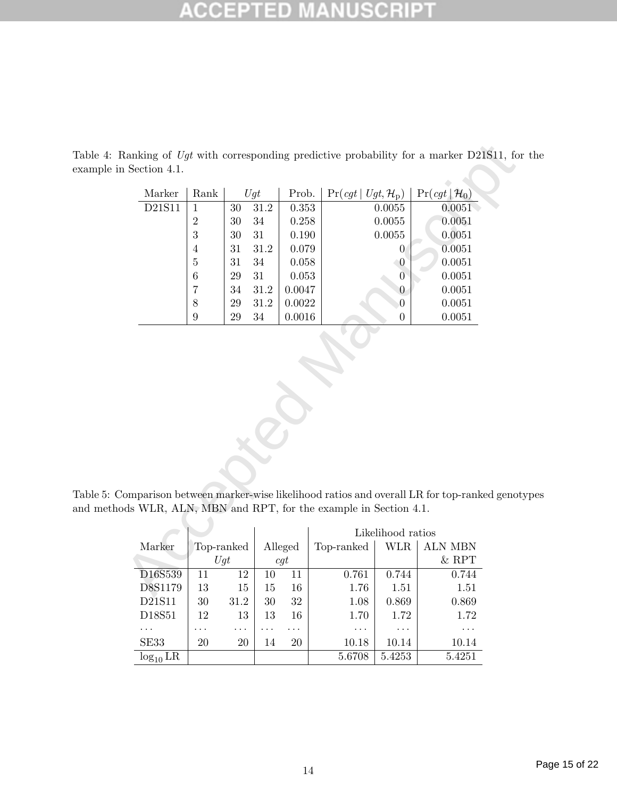### E B C

| Rank                                                                                                                                              |                                    |          | Prob.   |                                                                                  |                   | $Pr(cgt   \mathcal{H}_0)$                                                                                                                         |  |  |  |
|---------------------------------------------------------------------------------------------------------------------------------------------------|------------------------------------|----------|---------|----------------------------------------------------------------------------------|-------------------|---------------------------------------------------------------------------------------------------------------------------------------------------|--|--|--|
| $\mathbf{1}$                                                                                                                                      | 30                                 | 31.2     |         |                                                                                  |                   | 0.0051                                                                                                                                            |  |  |  |
| $\sqrt{2}$                                                                                                                                        | 30                                 | 34       |         |                                                                                  |                   | 0.0051                                                                                                                                            |  |  |  |
| 3                                                                                                                                                 | 30                                 | 31       |         |                                                                                  |                   | 0.0051                                                                                                                                            |  |  |  |
| $\overline{4}$                                                                                                                                    | 31                                 | 31.2     |         |                                                                                  | $\overline{0}$    | 0.0051                                                                                                                                            |  |  |  |
| $\bf 5$                                                                                                                                           | 31                                 | 34       |         |                                                                                  | $\boldsymbol{0}$  | 0.0051                                                                                                                                            |  |  |  |
| 6                                                                                                                                                 | $\,29$                             | 31       |         |                                                                                  | $\overline{0}$    | 0.0051                                                                                                                                            |  |  |  |
| 7                                                                                                                                                 | $34\,$                             | $31.2\,$ |         |                                                                                  | $\boldsymbol{0}$  | 0.0051                                                                                                                                            |  |  |  |
| $8\,$                                                                                                                                             | $\,29$                             | 31.2     |         |                                                                                  | $\boldsymbol{0}$  | 0.0051                                                                                                                                            |  |  |  |
| 9                                                                                                                                                 | 29                                 | $34\,$   |         |                                                                                  | $\overline{0}$    | 0.0051                                                                                                                                            |  |  |  |
| omparison between marker-wise likelihood ratios and overall LR for top-ranked genot<br>ods WLR, ALN, MBN and RPT, for the example in Section 4.1. |                                    |          |         |                                                                                  |                   |                                                                                                                                                   |  |  |  |
|                                                                                                                                                   |                                    |          |         |                                                                                  |                   |                                                                                                                                                   |  |  |  |
|                                                                                                                                                   |                                    |          |         |                                                                                  | Likelihood ratios |                                                                                                                                                   |  |  |  |
| Top-ranked                                                                                                                                        |                                    |          | Alleged | Top-ranked                                                                       | WLR               | <b>ALN MBN</b>                                                                                                                                    |  |  |  |
| Ugt                                                                                                                                               |                                    |          | cgt     |                                                                                  |                   | $&$ RPT                                                                                                                                           |  |  |  |
| D16S539<br>11                                                                                                                                     | 12                                 | 10       | 11      | 0.761                                                                            | 0.744             | 0.744                                                                                                                                             |  |  |  |
|                                                                                                                                                   | n Section 4.1.<br>Marker<br>D21S11 |          | Ugt     | 0.353<br>0.258<br>0.190<br>0.079<br>0.058<br>0.053<br>0.0047<br>0.0022<br>0.0016 |                   | Ranking of Ugt with corresponding predictive probability for a marker D21S11, for<br>$Pr(cgt   Ugt, \mathcal{H}_p)$<br>0.0055<br>0.0055<br>0.0055 |  |  |  |

Table 4: Ranking of Ugt with corresponding predictive probability for a marker D21S11, for the example in Section 4.1.

Table 5: Comparison between marker-wise likelihood ratios and overall LR for top-ranked genotypes and methods WLR, ALN, MBN and RPT, for the example in Section 4.1.

|               |    |            |    |         |            | Likelihood ratios |                |
|---------------|----|------------|----|---------|------------|-------------------|----------------|
| Marker        |    | Top-ranked |    | Alleged | Top-ranked | <b>WLR</b>        | <b>ALN MBN</b> |
|               |    | Uqt        |    | cqt     |            |                   | $&$ RPT        |
| D16S539       | 11 | 12         | 10 | 11      | 0.761      | 0.744             | 0.744          |
| D8S1179       | 13 | 15         | 15 | 16      | 1.76       | 1.51              | 1.51           |
| D21S11        | 30 | 31.2       | 30 | 32      | 1.08       | 0.869             | 0.869          |
| D18S51        | 12 | 13         | 13 | 16      | 1.70       | 1.72              | 1.72           |
|               | .  | .          |    | .       | .          | .                 | .              |
| SE33          | 20 | 20         | 14 | 20      | 10.18      | 10.14             | 10.14          |
| $log_{10}$ LR |    |            |    |         | 5.6708     | 5.4253            | 5.4251         |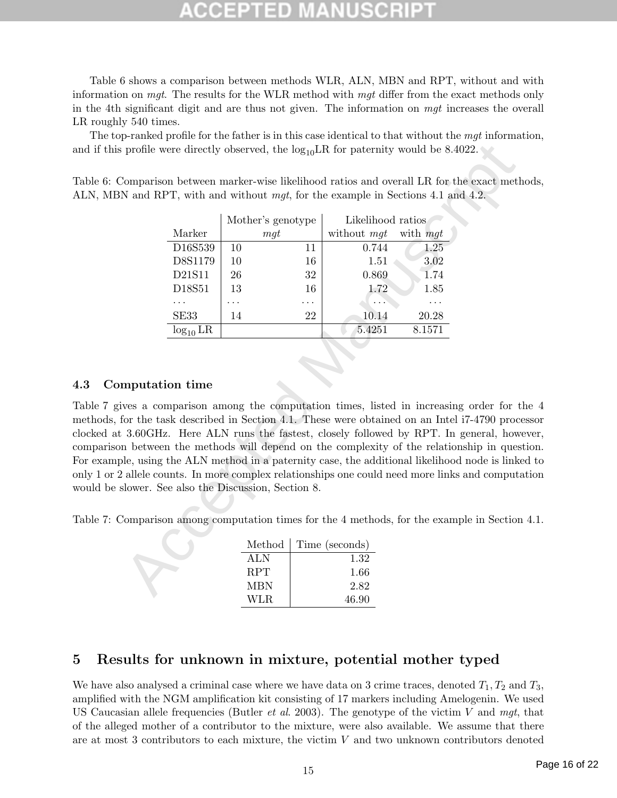Table 6 shows a comparison between methods WLR, ALN, MBN and RPT, without and with information on mgt. The results for the WLR method with mgt differ from the exact methods only in the 4th significant digit and are thus not given. The information on mgt increases the overall LR roughly 540 times.

The top-ranked profile for the father is in this case identical to that without the mgt information, and if this profile were directly observed, the  $log_{10}LR$  for paternity would be 8.4022.

Table 6: Comparison between marker-wise likelihood ratios and overall LR for the exact methods, ALN, MBN and RPT, with and without mgt, for the example in Sections 4.1 and 4.2.

|               |    | Mother's genotype | Likelihood ratios |          |  |  |
|---------------|----|-------------------|-------------------|----------|--|--|
| Marker        |    | mqt               | without mgt       | with mqt |  |  |
| D16S539       | 10 | 11                | 0.744             | 1.25     |  |  |
| D8S1179       | 10 | 16                | 1.51              | 3.02     |  |  |
| D21S11        | 26 | 32                | 0.869             | 1.74     |  |  |
| D18S51        | 13 | 16                | 1.72              | 1.85     |  |  |
|               |    |                   |                   |          |  |  |
| SE33          | 14 | 22                | 10.14             | 20.28    |  |  |
| $log_{10}$ LR |    |                   | 5.4251            | 8.1571   |  |  |

### 4.3 Computation time

profile were directly observed, the  $\log_{10}LR$  for paternity would be 8.4022.<br>
Comparison between marker-wise ilkelihood ratios and overall LR for the exact meth N and RPT, with and without mgt, for the example in Sections Table 7 gives a comparison among the computation times, listed in increasing order for the 4 methods, for the task described in Section 4.1. These were obtained on an Intel i7-4790 processor clocked at 3.60GHz. Here ALN runs the fastest, closely followed by RPT. In general, however, comparison between the methods will depend on the complexity of the relationship in question. For example, using the ALN method in a paternity case, the additional likelihood node is linked to only 1 or 2 allele counts. In more complex relationships one could need more links and computation would be slower. See also the Discussion, Section 8.

Table 7: Comparison among computation times for the 4 methods, for the example in Section 4.1.

| Method     | Time (seconds) |
|------------|----------------|
| ALN.       | 1.32           |
| <b>RPT</b> | 1.66           |
| MBN        | 2.82           |
| WLR.       | 46.90          |

## 5 Results for unknown in mixture, potential mother typed

We have also analysed a criminal case where we have data on 3 crime traces, denoted  $T_1, T_2$  and  $T_3$ , amplified with the NGM amplification kit consisting of 17 markers including Amelogenin. We used US Caucasian allele frequencies (Butler *et al.* 2003). The genotype of the victim V and mgt, that of the alleged mother of a contributor to the mixture, were also available. We assume that there are at most 3 contributors to each mixture, the victim V and two unknown contributors denoted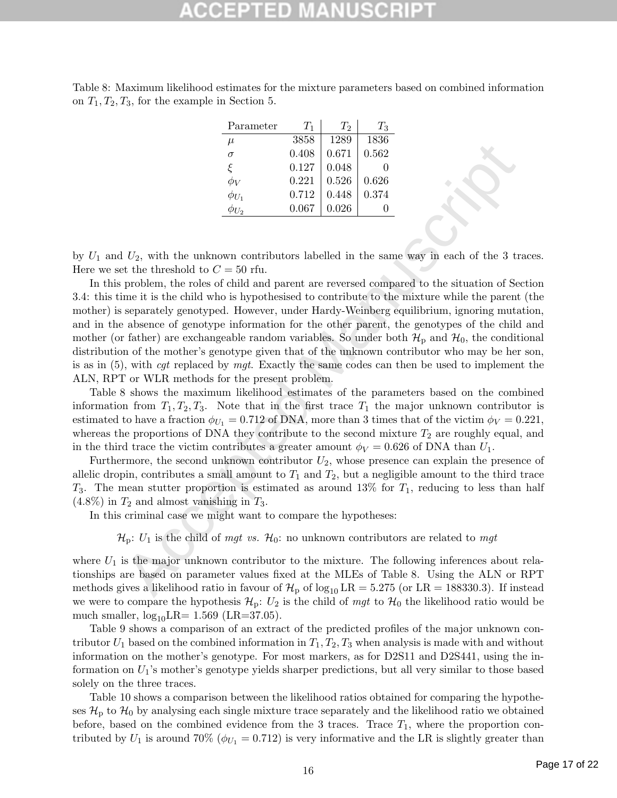| Table 8: Maximum likelihood estimates for the mixture parameters based on combined information |  |  |  |  |  |
|------------------------------------------------------------------------------------------------|--|--|--|--|--|
| on $T_1, T_2, T_3$ , for the example in Section 5.                                             |  |  |  |  |  |

| Parameter    | $T_1$ | $T_2$ | $T_3$        |
|--------------|-------|-------|--------------|
| $\mu$        | 3858  | 1289  | 1836         |
| $\sigma$     | 0.408 | 0.671 | 0.562        |
| ۶            | 0.127 | 0.048 | $\mathbf{0}$ |
| $\phi_V$     | 0.221 | 0.526 | 0.626        |
| $\phi_{U_1}$ | 0.712 | 0.448 | 0.374        |
|              | 0.067 | 0.026 |              |

by  $U_1$  and  $U_2$ , with the unknown contributors labelled in the same way in each of the 3 traces. Here we set the threshold to  $C = 50$  rfu.

Accepted Manuscript In this problem, the roles of child and parent are reversed compared to the situation of Section 3.4: this time it is the child who is hypothesised to contribute to the mixture while the parent (the mother) is separately genotyped. However, under Hardy-Weinberg equilibrium, ignoring mutation, and in the absence of genotype information for the other parent, the genotypes of the child and mother (or father) are exchangeable random variables. So under both  $\mathcal{H}_{\text{p}}$  and  $\mathcal{H}_{0}$ , the conditional distribution of the mother's genotype given that of the unknown contributor who may be her son, is as in  $(5)$ , with *cgt* replaced by *mgt*. Exactly the same codes can then be used to implement the ALN, RPT or WLR methods for the present problem.

Table 8 shows the maximum likelihood estimates of the parameters based on the combined information from  $T_1, T_2, T_3$ . Note that in the first trace  $T_1$  the major unknown contributor is estimated to have a fraction  $\phi_{U_1} = 0.712$  of DNA, more than 3 times that of the victim  $\phi_V = 0.221$ , whereas the proportions of DNA they contribute to the second mixture  $T_2$  are roughly equal, and in the third trace the victim contributes a greater amount  $\phi_V = 0.626$  of DNA than  $U_1$ .

Furthermore, the second unknown contributor  $U_2$ , whose presence can explain the presence of allelic dropin, contributes a small amount to  $T_1$  and  $T_2$ , but a negligible amount to the third trace  $T_3$ . The mean stutter proportion is estimated as around 13% for  $T_1$ , reducing to less than half  $(4.8\%)$  in  $T_2$  and almost vanishing in  $T_3$ .

In this criminal case we might want to compare the hypotheses:

 $\mathcal{H}_p$ :  $U_1$  is the child of mgt vs.  $\mathcal{H}_0$ : no unknown contributors are related to mgt

where  $U_1$  is the major unknown contributor to the mixture. The following inferences about relationships are based on parameter values fixed at the MLEs of Table 8. Using the ALN or RPT methods gives a likelihood ratio in favour of  $\mathcal{H}_{\rm p}$  of  $\log_{10} \text{LR} = 5.275$  (or LR = 188330.3). If instead we were to compare the hypothesis  $\mathcal{H}_p: U_2$  is the child of mgt to  $\mathcal{H}_0$  the likelihood ratio would be much smaller,  $log_{10}LR = 1.569$  (LR=37.05).

Table 9 shows a comparison of an extract of the predicted profiles of the major unknown contributor  $U_1$  based on the combined information in  $T_1, T_2, T_3$  when analysis is made with and without information on the mother's genotype. For most markers, as for D2S11 and D2S441, using the information on  $U_1$ 's mother's genotype yields sharper predictions, but all very similar to those based solely on the three traces.

Table 10 shows a comparison between the likelihood ratios obtained for comparing the hypotheses  $\mathcal{H}_{\rm p}$  to  $\mathcal{H}_{\rm 0}$  by analysing each single mixture trace separately and the likelihood ratio we obtained before, based on the combined evidence from the 3 traces. Trace  $T_1$ , where the proportion contributed by  $U_1$  is around 70% ( $\phi_{U_1} = 0.712$ ) is very informative and the LR is slightly greater than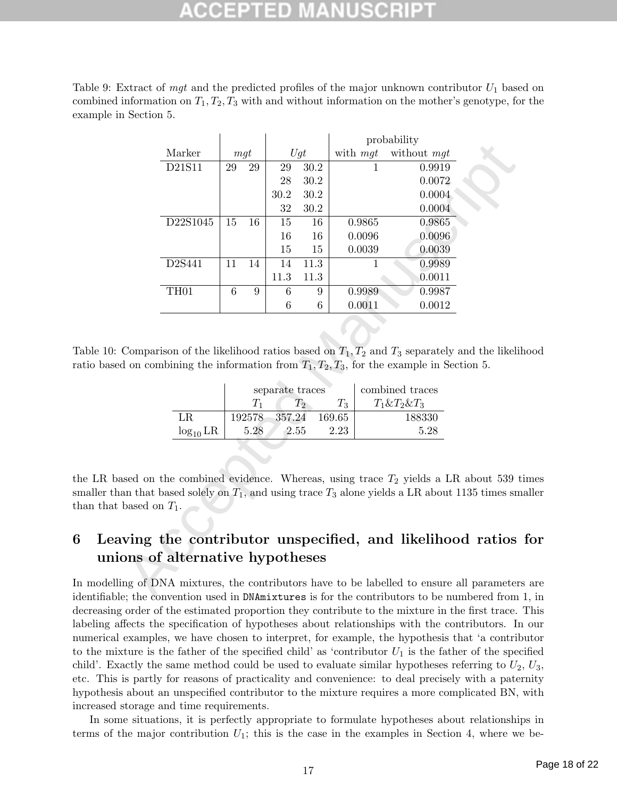Table 9: Extract of mgt and the predicted profiles of the major unknown contributor  $U_1$  based on combined information on  $T_1, T_2, T_3$  with and without information on the mother's genotype, for the example in Section 5.

|                                                                                                                                                                                                                                                                                                                                           |                  |     |        |                 |       |          | probability                                                                                                                                                                                                                      |  |  |
|-------------------------------------------------------------------------------------------------------------------------------------------------------------------------------------------------------------------------------------------------------------------------------------------------------------------------------------------|------------------|-----|--------|-----------------|-------|----------|----------------------------------------------------------------------------------------------------------------------------------------------------------------------------------------------------------------------------------|--|--|
|                                                                                                                                                                                                                                                                                                                                           | Marker           | mgt |        |                 | Ugt   | with mgt | without mgt                                                                                                                                                                                                                      |  |  |
|                                                                                                                                                                                                                                                                                                                                           | D21S11           | 29  | $\,29$ | $\,29$          | 30.2  |          | 0.9919                                                                                                                                                                                                                           |  |  |
|                                                                                                                                                                                                                                                                                                                                           |                  |     |        | 28              | 30.2  |          | 0.0072                                                                                                                                                                                                                           |  |  |
|                                                                                                                                                                                                                                                                                                                                           |                  |     |        | 30.2            | 30.2  |          | 0.0004                                                                                                                                                                                                                           |  |  |
|                                                                                                                                                                                                                                                                                                                                           |                  |     |        | 32              | 30.2  |          | 0.0004                                                                                                                                                                                                                           |  |  |
|                                                                                                                                                                                                                                                                                                                                           | D22S1045         | 15  | 16     | 15              | 16    | 0.9865   | 0.9865                                                                                                                                                                                                                           |  |  |
|                                                                                                                                                                                                                                                                                                                                           |                  |     |        | 16              | 16    | 0.0096   | 0.0096                                                                                                                                                                                                                           |  |  |
|                                                                                                                                                                                                                                                                                                                                           |                  |     |        | 15              | 15    | 0.0039   | 0.0039                                                                                                                                                                                                                           |  |  |
|                                                                                                                                                                                                                                                                                                                                           | D2S441           | 11  | 14     | 14              | 11.3  | 1        | 0.9989                                                                                                                                                                                                                           |  |  |
|                                                                                                                                                                                                                                                                                                                                           |                  |     |        | 11.3            | 11.3  |          | 0.0011                                                                                                                                                                                                                           |  |  |
|                                                                                                                                                                                                                                                                                                                                           | TH <sub>01</sub> | 6   | 9      | 6               | 9     | 0.9989   | 0.9987                                                                                                                                                                                                                           |  |  |
|                                                                                                                                                                                                                                                                                                                                           |                  |     |        | 6               | 6     | 0.0011   | 0.0012                                                                                                                                                                                                                           |  |  |
|                                                                                                                                                                                                                                                                                                                                           |                  |     | $T_1$  | separate traces | $T_2$ | $T_3$    | Comparison of the likelihood ratios based on $T_1, T_2$ and $T_3$ separately and the likelihood<br>d on combining the information from $T_1, T_2, T_3$ , for the example in Section 5.<br>combined traces<br>$T_1 \& T_2 \& T_3$ |  |  |
|                                                                                                                                                                                                                                                                                                                                           | $\rm LR$         |     | 192578 | 357.24          |       | 169.65   | 188330                                                                                                                                                                                                                           |  |  |
|                                                                                                                                                                                                                                                                                                                                           |                  |     |        |                 |       |          | 5.28                                                                                                                                                                                                                             |  |  |
| $log_{10}$ LR<br>5.28<br>2.55<br>2.23<br>used on the combined evidence. Whereas, using trace $T_2$ yields a LR about 539 t<br>an that based solely on $T_1$ , and using trace $T_3$ alone yields a LR about 1135 times sm<br>based on $T_1$ .<br>ving the contributor unspecified, and likelihood ratios<br>ons of alternative hypotheses |                  |     |        |                 |       |          |                                                                                                                                                                                                                                  |  |  |
|                                                                                                                                                                                                                                                                                                                                           |                  |     |        |                 |       |          |                                                                                                                                                                                                                                  |  |  |
|                                                                                                                                                                                                                                                                                                                                           |                  |     |        |                 |       |          | ng of DNA mixtures, the contributors have to be labelled to ensure all parameters<br>$\alpha$ the convention used in $\mathsf{NM}$ mixtures is for the contributors to be numbered from                                          |  |  |

Table 10: Comparison of the likelihood ratios based on  $T_1, T_2$  and  $T_3$  separately and the likelihood ratio based on combining the information from  $T_1, T_2, T_3$ , for the example in Section 5.

|               |        | separate traces | combined traces |                     |
|---------------|--------|-----------------|-----------------|---------------------|
|               | 75     | $T_2$           | $T_3$           | $T_1 \& T_2 \& T_3$ |
| LR.           | 192578 | $-357.24$       | 169.65          | 188330              |
| $log_{10} LR$ | 5.28   | 2.55            | 2.23            | 5.28                |

the LR based on the combined evidence. Whereas, using trace  $T_2$  yields a LR about 539 times smaller than that based solely on  $T_1$ , and using trace  $T_3$  alone yields a LR about 1135 times smaller than that based on  $T_1$ .

# 6 Leaving the contributor unspecified, and likelihood ratios for unions of alternative hypotheses

In modelling of DNA mixtures, the contributors have to be labelled to ensure all parameters are identifiable; the convention used in DNAmixtures is for the contributors to be numbered from 1, in decreasing order of the estimated proportion they contribute to the mixture in the first trace. This labeling affects the specification of hypotheses about relationships with the contributors. In our numerical examples, we have chosen to interpret, for example, the hypothesis that 'a contributor to the mixture is the father of the specified child' as 'contributor  $U_1$  is the father of the specified child'. Exactly the same method could be used to evaluate similar hypotheses referring to  $U_2, U_3$ , etc. This is partly for reasons of practicality and convenience: to deal precisely with a paternity hypothesis about an unspecified contributor to the mixture requires a more complicated BN, with increased storage and time requirements.

In some situations, it is perfectly appropriate to formulate hypotheses about relationships in terms of the major contribution  $U_1$ ; this is the case in the examples in Section 4, where we be-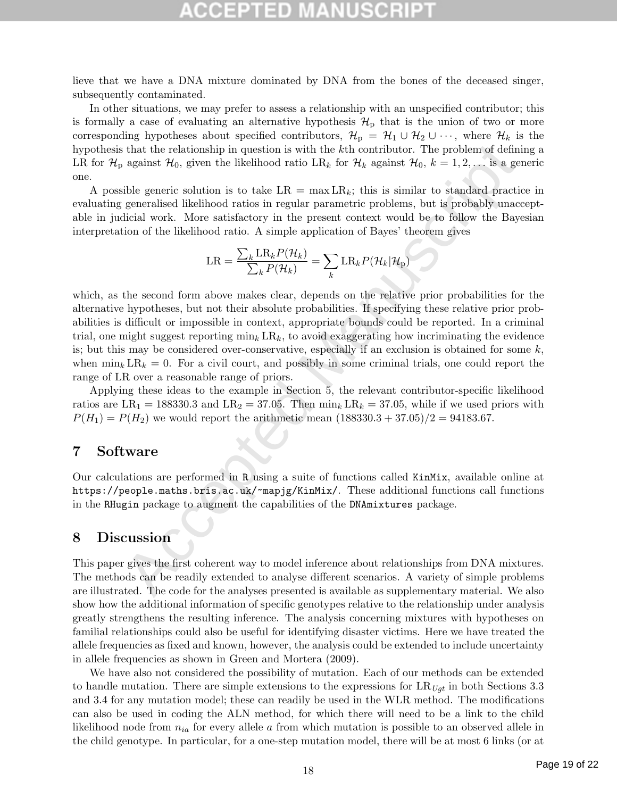# ED)

lieve that we have a DNA mixture dominated by DNA from the bones of the deceased singer, subsequently contaminated.

In other situations, we may prefer to assess a relationship with an unspecified contributor; this is formally a case of evaluating an alternative hypothesis  $\mathcal{H}_{\rm p}$  that is the union of two or more corresponding hypotheses about specified contributors,  $\mathcal{H}_{p} = \mathcal{H}_{1} \cup \mathcal{H}_{2} \cup \cdots$ , where  $\mathcal{H}_{k}$  is the hypothesis that the relationship in question is with the kth contributor. The problem of defining a LR for  $\mathcal{H}_p$  against  $\mathcal{H}_0$ , given the likelihood ratio LR<sub>k</sub> for  $\mathcal{H}_k$  against  $\mathcal{H}_0$ ,  $k = 1, 2, \ldots$  is a generic one.

A possible generic solution is to take  $LR = \max LR_k$ ; this is similar to standard practice in evaluating generalised likelihood ratios in regular parametric problems, but is probably unacceptable in judicial work. More satisfactory in the present context would be to follow the Bayesian interpretation of the likelihood ratio. A simple application of Bayes' theorem gives

$$
LR = \frac{\sum_{k} LR_{k} P(\mathcal{H}_{k})}{\sum_{k} P(\mathcal{H}_{k})} = \sum_{k} LR_{k} P(\mathcal{H}_{k} | \mathcal{H}_{p})
$$

that the relationship in question is with the *k*th contributor. The problem of definition, against  $\mathcal{H}_0$ , given the likelihood ratio LR<sub>k</sub> for  $\mathcal{H}_k$  against  $\mathcal{H}_0$ ,  $k = 1, 2, \ldots$  is a get<br>ble general solution which, as the second form above makes clear, depends on the relative prior probabilities for the alternative hypotheses, but not their absolute probabilities. If specifying these relative prior probabilities is difficult or impossible in context, appropriate bounds could be reported. In a criminal trial, one might suggest reporting  $\min_k LR_k$ , to avoid exaggerating how incriminating the evidence is; but this may be considered over-conservative, especially if an exclusion is obtained for some  $k$ , when  $\min_k LR_k = 0$ . For a civil court, and possibly in some criminal trials, one could report the range of LR over a reasonable range of priors.

Applying these ideas to the example in Section 5, the relevant contributor-specific likelihood ratios are  $LR_1 = 188330.3$  and  $LR_2 = 37.05$ . Then  $\min_k LR_k = 37.05$ , while if we used priors with  $P(H_1) = P(H_2)$  we would report the arithmetic mean  $(188330.3 + 37.05)/2 = 94183.67$ .

## 7 Software

Our calculations are performed in R using a suite of functions called KinMix, available online at https://people.maths.bris.ac.uk/~mapjg/KinMix/. These additional functions call functions in the RHugin package to augment the capabilities of the DNAmixtures package.

## 8 Discussion

This paper gives the first coherent way to model inference about relationships from DNA mixtures. The methods can be readily extended to analyse different scenarios. A variety of simple problems are illustrated. The code for the analyses presented is available as supplementary material. We also show how the additional information of specific genotypes relative to the relationship under analysis greatly strengthens the resulting inference. The analysis concerning mixtures with hypotheses on familial relationships could also be useful for identifying disaster victims. Here we have treated the allele frequencies as fixed and known, however, the analysis could be extended to include uncertainty in allele frequencies as shown in Green and Mortera (2009).

We have also not considered the possibility of mutation. Each of our methods can be extended to handle mutation. There are simple extensions to the expressions for  $LR_{Ugt}$  in both Sections 3.3 and 3.4 for any mutation model; these can readily be used in the WLR method. The modifications can also be used in coding the ALN method, for which there will need to be a link to the child likelihood node from  $n_{ia}$  for every allele a from which mutation is possible to an observed allele in the child genotype. In particular, for a one-step mutation model, there will be at most 6 links (or at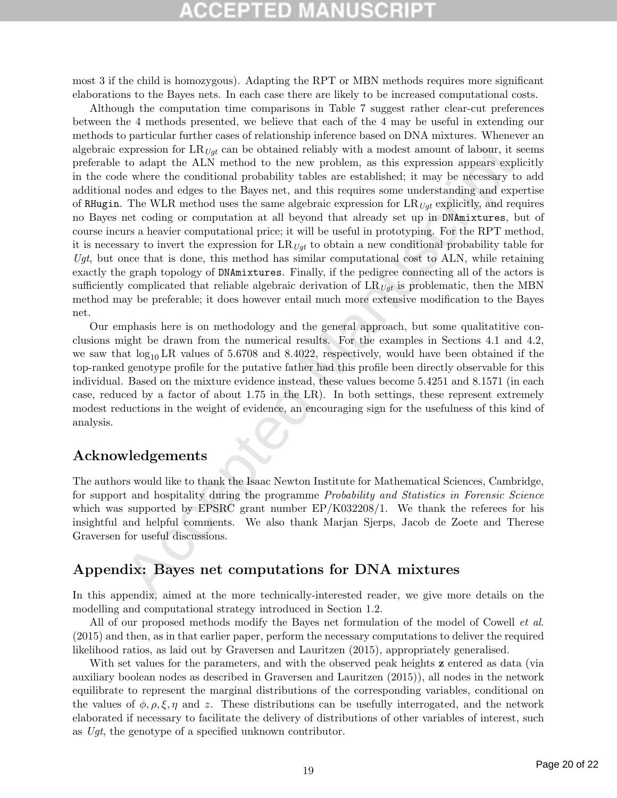# **CCEPTED MANUSCR**

most 3 if the child is homozygous). Adapting the RPT or MBN methods requires more significant elaborations to the Bayes nets. In each case there are likely to be increased computational costs.

xpression for LR  $_{\ell \text{gtf}}$  an be obtained reliably with a modest amount of labour, it so colpet the ALN method to the new problem, as this expression appears expli<br>be where the conditional probability tables are establi Although the computation time comparisons in Table 7 suggest rather clear-cut preferences between the 4 methods presented, we believe that each of the 4 may be useful in extending our methods to particular further cases of relationship inference based on DNA mixtures. Whenever an algebraic expression for  $LR_{Uqt}$  can be obtained reliably with a modest amount of labour, it seems preferable to adapt the ALN method to the new problem, as this expression appears explicitly in the code where the conditional probability tables are established; it may be necessary to add additional nodes and edges to the Bayes net, and this requires some understanding and expertise of RHugin. The WLR method uses the same algebraic expression for  $LR_{Ugt}$  explicitly, and requires no Bayes net coding or computation at all beyond that already set up in DNAmixtures, but of course incurs a heavier computational price; it will be useful in prototyping. For the RPT method, it is necessary to invert the expression for  $LR_{Uqt}$  to obtain a new conditional probability table for Ugt, but once that is done, this method has similar computational cost to  $ALN$ , while retaining exactly the graph topology of DNAmixtures. Finally, if the pedigree connecting all of the actors is sufficiently complicated that reliable algebraic derivation of  $LR_{Uqt}$  is problematic, then the MBN method may be preferable; it does however entail much more extensive modification to the Bayes net.

Our emphasis here is on methodology and the general approach, but some qualitatitive conclusions might be drawn from the numerical results. For the examples in Sections 4.1 and 4.2, we saw that  $log_{10}$  LR values of 5.6708 and 8.4022, respectively, would have been obtained if the top-ranked genotype profile for the putative father had this profile been directly observable for this individual. Based on the mixture evidence instead, these values become 5.4251 and 8.1571 (in each case, reduced by a factor of about 1.75 in the LR). In both settings, these represent extremely modest reductions in the weight of evidence, an encouraging sign for the usefulness of this kind of analysis.

# Acknowledgements

The authors would like to thank the Isaac Newton Institute for Mathematical Sciences, Cambridge, for support and hospitality during the programme *Probability and Statistics in Forensic Science* which was supported by EPSRC grant number  $EP/K032208/1$ . We thank the referees for his insightful and helpful comments. We also thank Marjan Sjerps, Jacob de Zoete and Therese Graversen for useful discussions.

# Appendix: Bayes net computations for DNA mixtures

In this appendix, aimed at the more technically-interested reader, we give more details on the modelling and computational strategy introduced in Section 1.2.

All of our proposed methods modify the Bayes net formulation of the model of Cowell *et al.* (2015) and then, as in that earlier paper, perform the necessary computations to deliver the required likelihood ratios, as laid out by Graversen and Lauritzen (2015), appropriately generalised.

With set values for the parameters, and with the observed peak heights **z** entered as data (via auxiliary boolean nodes as described in Graversen and Lauritzen (2015)), all nodes in the network equilibrate to represent the marginal distributions of the corresponding variables, conditional on the values of  $\phi, \rho, \xi, \eta$  and z. These distributions can be usefully interrogated, and the network elaborated if necessary to facilitate the delivery of distributions of other variables of interest, such as Ugt, the genotype of a specified unknown contributor.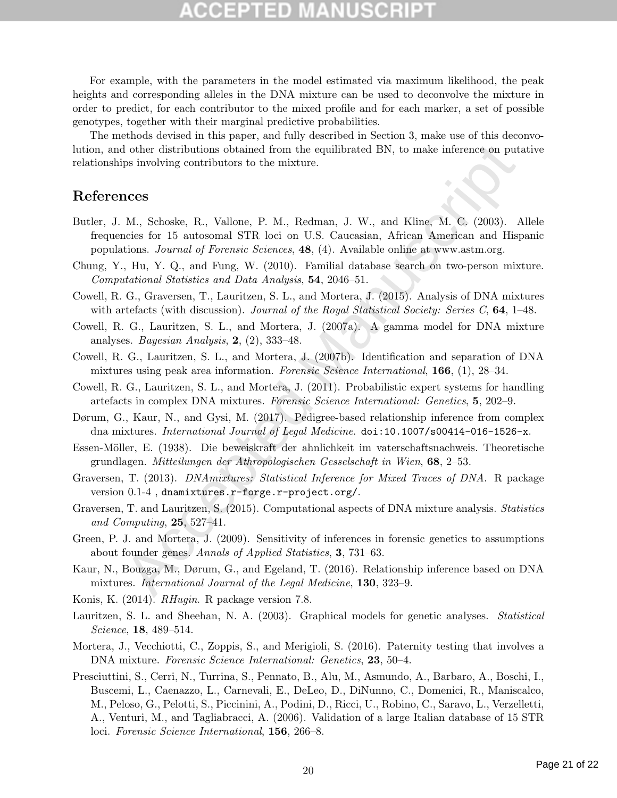# COEPTED

For example, with the parameters in the model estimated via maximum likelihood, the peak heights and corresponding alleles in the DNA mixture can be used to deconvolve the mixture in order to predict, for each contributor to the mixed profile and for each marker, a set of possible genotypes, together with their marginal predictive probabilities.

The methods devised in this paper, and fully described in Section 3, make use of this deconvolution, and other distributions obtained from the equilibrated BN, to make inference on putative relationships involving contributors to the mixture.

## References

- d other distributions obtained from the equilibrated BN, to make inference on puts<br>ps involving contributors to the mixture.<br>
M., Schoske, R., Vallone, P. M., Redman, J. W., and Kline, M. C. (2003). A<br>
M., Schoske, R., Va Butler, J. M., Schoske, R., Vallone, P. M., Redman, J. W., and Kline, M. C. (2003). Allele frequencies for 15 autosomal STR loci on U.S. Caucasian, African American and Hispanic populations. Journal of Forensic Sciences, 48, (4). Available online at www.astm.org.
- Chung, Y., Hu, Y. Q., and Fung, W. (2010). Familial database search on two-person mixture. Computational Statistics and Data Analysis, 54, 2046–51.
- Cowell, R. G., Graversen, T., Lauritzen, S. L., and Mortera, J. (2015). Analysis of DNA mixtures with artefacts (with discussion). Journal of the Royal Statistical Society: Series C,  $64$ , 1–48.
- Cowell, R. G., Lauritzen, S. L., and Mortera, J. (2007a). A gamma model for DNA mixture analyses. Bayesian Analysis, 2, (2), 333–48.
- Cowell, R. G., Lauritzen, S. L., and Mortera, J. (2007b). Identification and separation of DNA mixtures using peak area information. Forensic Science International, 166, (1), 28–34.
- Cowell, R. G., Lauritzen, S. L., and Mortera, J. (2011). Probabilistic expert systems for handling artefacts in complex DNA mixtures. Forensic Science International: Genetics, 5, 202–9.
- Dørum, G., Kaur, N., and Gysi, M. (2017). Pedigree-based relationship inference from complex dna mixtures. International Journal of Legal Medicine. doi:10.1007/s00414-016-1526-x.
- Essen-Möller, E. (1938). Die beweiskraft der ahnlichkeit im vaterschaftsnachweis. Theoretische grundlagen. Mitteilungen der Athropologischen Gesselschaft in Wien, 68, 2–53.
- Graversen, T. (2013). DNAmixtures: Statistical Inference for Mixed Traces of DNA. R package version 0.1-4 , dnamixtures.r-forge.r-project.org/.
- Graversen, T. and Lauritzen, S. (2015). Computational aspects of DNA mixture analysis. Statistics and Computing,  $25, 527-41$ .
- Green, P. J. and Mortera, J. (2009). Sensitivity of inferences in forensic genetics to assumptions about founder genes. Annals of Applied Statistics, 3, 731–63.
- Kaur, N., Bouzga, M., Dørum, G., and Egeland, T. (2016). Relationship inference based on DNA mixtures. *International Journal of the Legal Medicine*, **130**, 323–9.
- Konis, K. (2014). *RHugin*. R package version 7.8.
- Lauritzen, S. L. and Sheehan, N. A. (2003). Graphical models for genetic analyses. *Statistical* Science, 18, 489–514.
- Mortera, J., Vecchiotti, C., Zoppis, S., and Merigioli, S. (2016). Paternity testing that involves a DNA mixture. Forensic Science International: Genetics, 23, 50–4.
- Presciuttini, S., Cerri, N., Turrina, S., Pennato, B., Alu, M., Asmundo, A., Barbaro, A., Boschi, I., Buscemi, L., Caenazzo, L., Carnevali, E., DeLeo, D., DiNunno, C., Domenici, R., Maniscalco, M., Peloso, G., Pelotti, S., Piccinini, A., Podini, D., Ricci, U., Robino, C., Saravo, L., Verzelletti, A., Venturi, M., and Tagliabracci, A. (2006). Validation of a large Italian database of 15 STR loci. Forensic Science International, 156, 266–8.